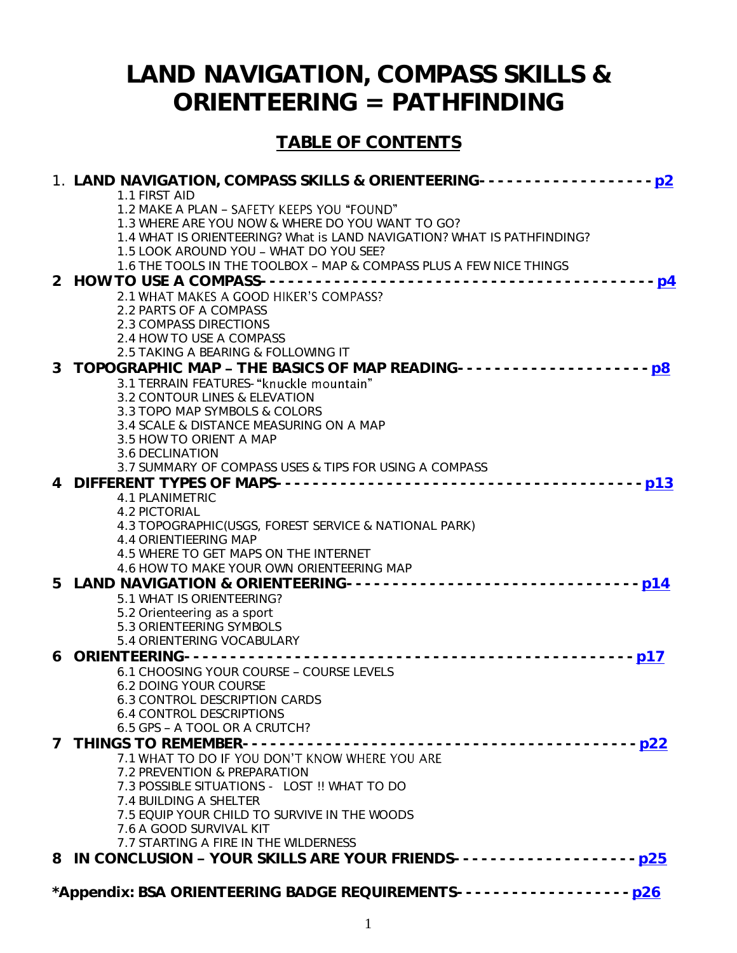# **LAND NAVIGATION, COMPASS SKILLS & ORIENTEERING = PATHFINDING**

# **TABLE OF CONTENTS**

|   | 1. LAND NAVIGATION, COMPASS SKILLS & ORIENTEERING------------------- p2<br>1.1 FIRST AID |  |
|---|------------------------------------------------------------------------------------------|--|
|   | 1.2 MAKE A PLAN - SAFETY KEEPS YOU "FOUND"                                               |  |
|   | 1.3 WHERE ARE YOU NOW & WHERE DO YOU WANT TO GO?                                         |  |
|   | 1.4 WHAT IS ORIENTEERING? What is LAND NAVIGATION? WHAT IS PATHFINDING?                  |  |
|   | 1.5 LOOK AROUND YOU - WHAT DO YOU SEE?                                                   |  |
|   | 1.6 THE TOOLS IN THE TOOLBOX - MAP & COMPASS PLUS A FEW NICE THINGS                      |  |
|   |                                                                                          |  |
|   | 2.1 WHAT MAKES A GOOD HIKER'S COMPASS?<br>2.2 PARTS OF A COMPASS                         |  |
|   | 2.3 COMPASS DIRECTIONS                                                                   |  |
|   | 2.4 HOW TO USE A COMPASS                                                                 |  |
|   | 2.5 TAKING A BEARING & FOLLOWING IT                                                      |  |
| 3 | TOPOGRAPHIC MAP - THE BASICS OF MAP READING--------------------- p8                      |  |
|   | 3.1 TERRAIN FEATURES-"knuckle mountain"                                                  |  |
|   | 3.2 CONTOUR LINES & ELEVATION                                                            |  |
|   | 3.3 TOPO MAP SYMBOLS & COLORS                                                            |  |
|   | 3.4 SCALE & DISTANCE MEASURING ON A MAP                                                  |  |
|   | 3.5 HOW TO ORIENT A MAP<br>3.6 DECLINATION                                               |  |
|   | 3.7 SUMMARY OF COMPASS USES & TIPS FOR USING A COMPASS                                   |  |
|   |                                                                                          |  |
|   | <b>4.1 PLANIMETRIC</b>                                                                   |  |
|   | 4.2 PICTORIAL                                                                            |  |
|   | 4.3 TOPOGRAPHIC(USGS, FOREST SERVICE & NATIONAL PARK)                                    |  |
|   | 4.4 ORIENTIEERING MAP                                                                    |  |
|   | 4.5 WHERE TO GET MAPS ON THE INTERNET                                                    |  |
|   | 4.6 HOW TO MAKE YOUR OWN ORIENTEERING MAP                                                |  |
|   | 5.1 WHAT IS ORIENTEERING?                                                                |  |
|   | 5.2 Orienteering as a sport                                                              |  |
|   | 5.3 ORIENTEERING SYMBOLS                                                                 |  |
|   | 5.4 ORIENTERING VOCABULARY                                                               |  |
|   |                                                                                          |  |
|   | 6.1 CHOOSING YOUR COURSE - COURSE LEVELS                                                 |  |
|   | <b>6.2 DOING YOUR COURSE</b>                                                             |  |
|   | <b>6.3 CONTROL DESCRIPTION CARDS</b>                                                     |  |
|   | <b>6.4 CONTROL DESCRIPTIONS</b>                                                          |  |
|   | 6.5 GPS - A TOOL OR A CRUTCH?                                                            |  |
|   | 7.1 WHAT TO DO IF YOU DON'T KNOW WHERE YOU ARE                                           |  |
|   | 7.2 PREVENTION & PREPARATION                                                             |  |
|   | 7.3 POSSIBLE SITUATIONS - LOST !! WHAT TO DO                                             |  |
|   | 7.4 BUILDING A SHELTER                                                                   |  |
|   | 7.5 EQUIP YOUR CHILD TO SURVIVE IN THE WOODS                                             |  |
|   | 7.6 A GOOD SURVIVAL KIT                                                                  |  |
|   | 7.7 STARTING A FIRE IN THE WILDERNESS                                                    |  |
|   | 8 IN CONCLUSION - YOUR SKILLS ARE YOUR FRIENDS-------------------- p25                   |  |
|   | *Appendix: BSA ORIENTEERING BADGE REQUIREMENTS-------------------- p26                   |  |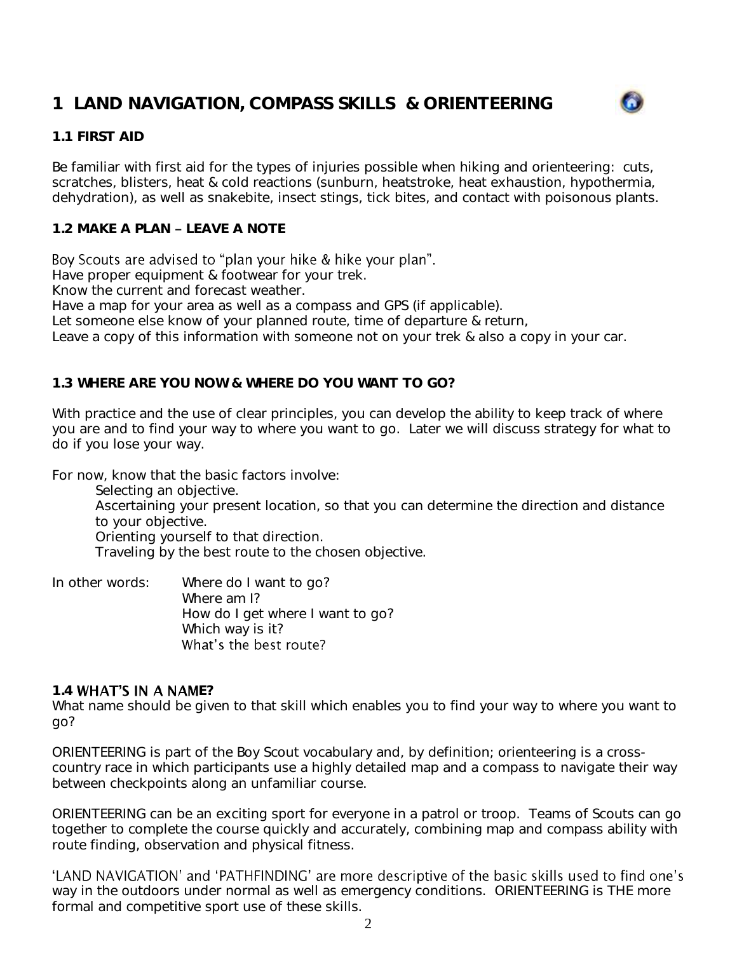# <span id="page-1-0"></span>**1 LAND NAVIGATION, COMPASS SKILLS & ORIENTEERING**



### **1.1 FIRST AID**

Be familiar with first aid for the types of injuries possible when hiking and orienteering: cuts, scratches, blisters, heat & cold reactions (sunburn, heatstroke, heat exhaustion, hypothermia, dehydration), as well as snakebite, insect stings, tick bites, and contact with poisonous plants.

## **1.2 MAKE A PLAN LEAVE A NOTE**

### Boy Scouts are advised to "plan your hike & hike your plan".

Have proper equipment & footwear for your trek.

Know the current and forecast weather.

Have a map for your area as well as a compass and GPS (if applicable).

Let someone else know of your planned route, time of departure & return,

Leave a copy of this information with someone not on your trek & also a copy in your car.

## **1.3 WHERE ARE YOU NOW & WHERE DO YOU WANT TO GO?**

With practice and the use of clear principles, you can develop the ability to keep track of where you are and to find your way to where you want to go. Later we will discuss strategy for what to do if you lose your way.

For now, know that the basic factors involve:

Selecting an objective. Ascertaining your present location, so that you can determine the direction and distance to your objective.

Orienting yourself to that direction.

Traveling by the best route to the chosen objective.

In other words: Where do I want to go? Where am I? How do I get where I want to go? Which way is it? What's the best route?

### **1.4 WHAT'S IN A NAME?**

What name should be given to that skill which enables you to find your way to where you want to go?

ORIENTEERING is part of the Boy Scout vocabulary and, by definition; orienteering is a crosscountry race in which participants use a highly detailed map and a compass to navigate their way between checkpoints along an unfamiliar course.

ORIENTEERING can be an exciting sport for everyone in a patrol or troop. Teams of Scouts can go together to complete the course quickly and accurately, combining map and compass ability with route finding, observation and physical fitness.

'LAND NAVIGATION' and 'PATHFINDING' are more descriptive of the basic skills used to find one's way in the outdoors under normal as well as emergency conditions. ORIENTEERING is THE more formal and competitive sport use of these skills.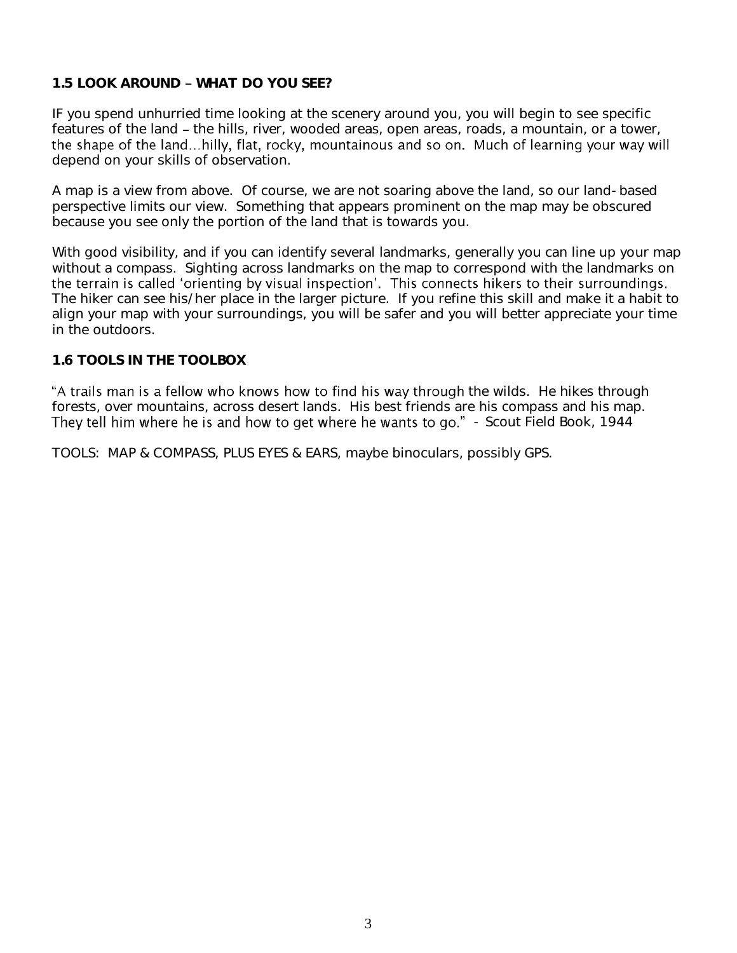### **1.5 LOOK AROUND WHAT DO YOU SEE?**

IF you spend unhurried time looking at the scenery around you, you will begin to see specific features of the land - the hills, river, wooded areas, open areas, roads, a mountain, or a tower, the shape of the land...hilly, flat, rocky, mountainous and so on. Much of learning your way will depend on your skills of observation.

A map is a view from above. Of course, we are not soaring above the land, so our land-based perspective limits our view. Something that appears prominent on the map may be obscured because you see only the portion of the land that is towards you.

With good visibility, and if you can identify several landmarks, generally you can line up your map without a compass. Sighting across landmarks on the map to correspond with the landmarks on the terrain is called 'orienting by visual inspection'. This connects hikers to their surroundings. The hiker can see his/her place in the larger picture. If you refine this skill and make it a habit to align your map with your surroundings, you will be safer and you will better appreciate your time in the outdoors.

### **1.6 TOOLS IN THE TOOLBOX**

"A trails man is a fellow who knows how to find his way through the wilds. He hikes through forests, over mountains, across desert lands. His best friends are his compass and his map. They tell him where he is and how to get where he wants to go." - Scout Field Book, 1944

TOOLS: MAP & COMPASS, PLUS EYES & EARS, maybe binoculars, possibly GPS.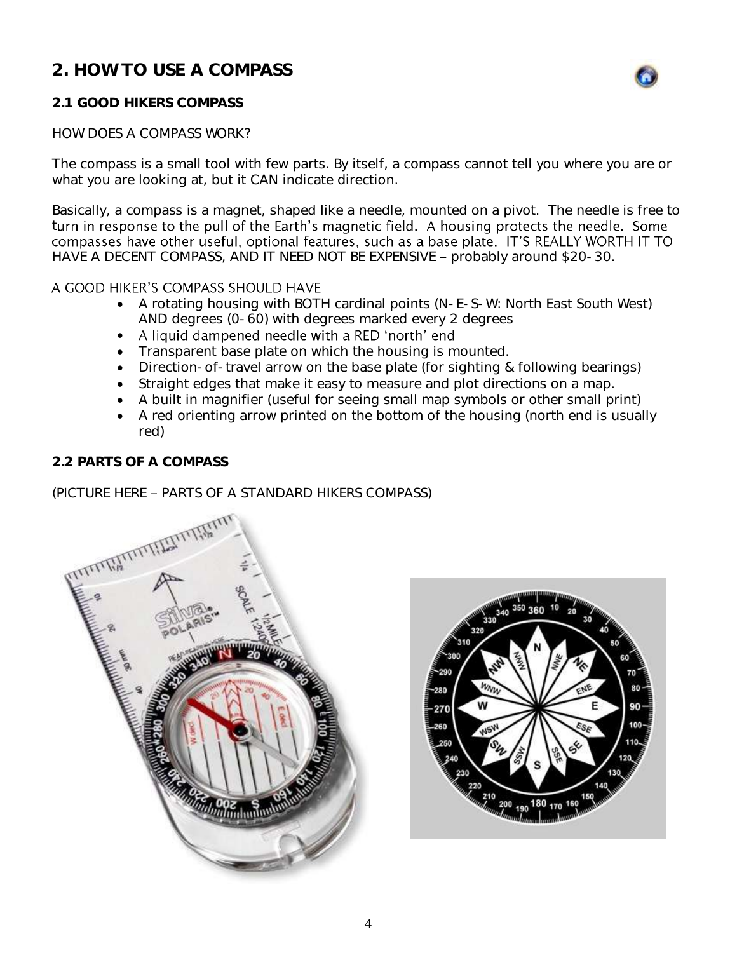# <span id="page-3-0"></span>**2. HOW TO USE A COMPASS**



### **2.1 GOOD HIKERS COMPASS**

### HOW DOES A COMPASS WORK?

The compass is a small tool with few parts. By itself, a compass cannot tell you where you are or what you are looking at, but it CAN indicate direction.

Basically, a compass is a magnet, shaped like a needle, mounted on a pivot. The needle is free to turn in response to the pull of the Earth's magnetic field. A housing protects the needle. Some<br>compasses have other useful, optional features, such as a base plate. IT'S REALLY WORTH IT TO HAVE A DECENT COMPASS, AND IT NEED NOT BE EXPENSIVE - probably around \$20-30.

### A GOOD HIKER'S COMPASS SHOULD HAVE

- A rotating housing with BOTH cardinal points (N-E-S-W: North East South West) AND degrees (0-60) with degrees marked every 2 degrees
- A liquid dampened needle with a RED 'north' end
- Transparent base plate on which the housing is mounted.
- Direction-of-travel arrow on the base plate (for sighting & following bearings)
- Straight edges that make it easy to measure and plot directions on a map.
- A built in magnifier (useful for seeing small map symbols or other small print)
- A red orienting arrow printed on the bottom of the housing (north end is usually red)

### **2.2 PARTS OF A COMPASS**

(PICTURE HERE PARTS OF A STANDARD HIKERS COMPASS)



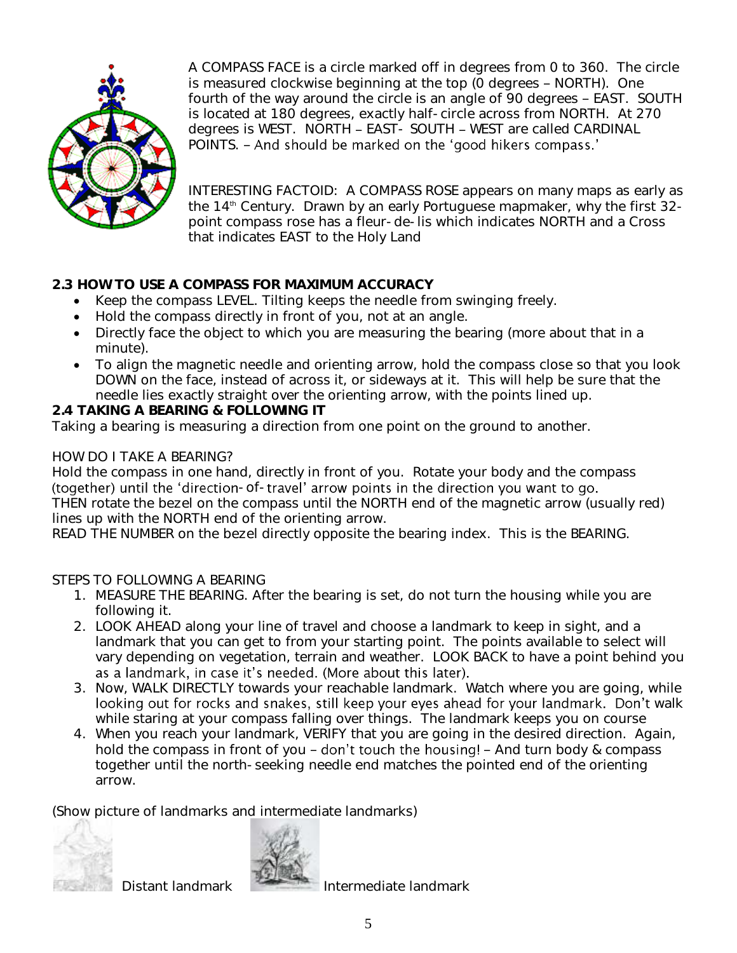

A COMPASS FACE is a circle marked off in degrees from 0 to 360. The circle is measured clockwise beginning at the top (0 degrees - NORTH). One fourth of the way around the circle is an angle of 90 degrees - EAST. SOUTH is located at 180 degrees, exactly half-circle across from NORTH. At 270 degrees is WEST. NORTH - EAST- SOUTH - WEST are called CARDINAL POINTS. - And should be marked on the 'good hikers compass.'

INTERESTING FACTOID: A COMPASS ROSE appears on many maps as early as the 14<sup>th</sup> Century. Drawn by an early Portuguese mapmaker, why the first 32point compass rose has a fleur-de-lis which indicates NORTH and a Cross that indicates EAST to the Holy Land

**2.3 HOW TO USE A COMPASS FOR MAXIMUM ACCURACY**

- Keep the compass LEVEL. Tilting keeps the needle from swinging freely.
- Hold the compass directly in front of you, not at an angle.
- Directly face the object to which you are measuring the bearing (more about that in a minute).
- To align the magnetic needle and orienting arrow, hold the compass close so that you look DOWN on the face, instead of across it, or sideways at it. This will help be sure that the needle lies exactly straight over the orienting arrow, with the points lined up.
- **2.4 TAKING A BEARING & FOLLOWING IT**

Taking a bearing is measuring a direction from one point on the ground to another.

# HOW DO I TAKE A BEARING?

Hold the compass in one hand, directly in front of you. Rotate your body and the compass (together) until the 'direction-of-travel' arrow points in the direction you want to go. THEN rotate the bezel on the compass until the NORTH end of the magnetic arrow (usually red) lines up with the NORTH end of the orienting arrow.

READ THE NUMBER on the bezel directly opposite the bearing index. This is the BEARING.

# STEPS TO FOLLOWING A BEARING

- 1. MEASURE THE BEARING. After the bearing is set, do not turn the housing while you are following it.
- 2. LOOK AHEAD along your line of travel and choose a landmark to keep in sight, and a landmark that you can get to from your starting point. The points available to select will vary depending on vegetation, terrain and weather. LOOK BACK to have a point behind you as a landmark, in case it's needed. (More about this later).
- 3. Now, WALK DIRECTLY towards your reachable landmark. Watch where you are going, while looking out for rocks and snakes, still keep your eyes ahead for your landmark. Don't walk while staring at your compass falling over things. The landmark keeps you on course
- 4. When you reach your landmark, VERIFY that you are going in the desired direction. Again, hold the compass in front of you  $-$  don't touch the housing!  $-$  And turn body & compass together until the north-seeking needle end matches the pointed end of the orienting arrow.

(Show picture of landmarks and intermediate landmarks)





Distant landmark **Intermediate landmark**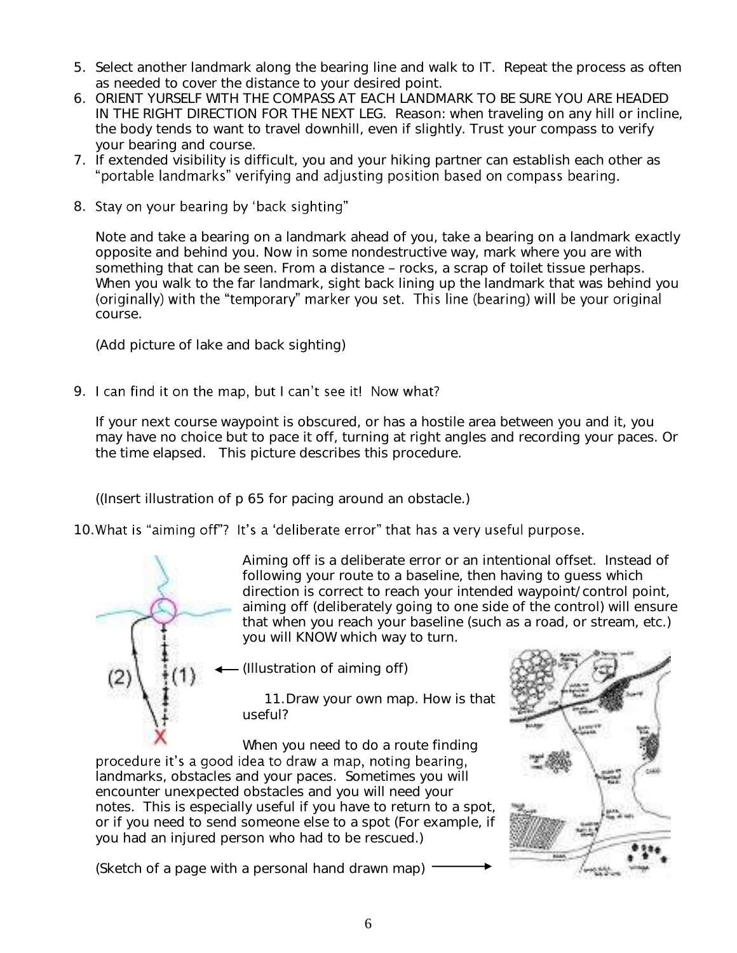- 5. Select another landmark along the bearing line and walk to IT. Repeat the process as often as needed to cover the distance to your desired point.
- 6. ORIENT YURSELF WITH THE COMPASS AT EACH LANDMARK TO BE SURE YOU ARE HEADED IN THE RIGHT DIRECTION FOR THE NEXT LEG. Reason: when traveling on any hill or incline, the body tends to want to travel downhill, even if slightly. Trust your compass to verify your bearing and course.
- 7. If extended visibility is difficult, you and your hiking partner can establish each other as "portable landmarks" verifying and adjusting position based on compass bearing.

## 8. Stay on your bearing by 'back sighting"

Note and take a bearing on a landmark ahead of you, take a bearing on a landmark exactly opposite and behind you. Now in some nondestructive way, mark where you are with something that can be seen. From a distance - rocks, a scrap of toilet tissue perhaps. When you walk to the far landmark, sight back lining up the landmark that was behind you (originally) with the "temporary" marker you set. This line (bearing) will be your original course.

(Add picture of lake and back sighting)

## 9. I can find it on the map, but I can't see it! Now what?

If your next course waypoint is obscured, or has a hostile area between you and it, you may have no choice but to pace it off, turning at right angles and recording your paces. Or the time elapsed. This picture describes this procedure.

((Insert illustration of p 65 for pacing around an obstacle.)

# 10. What is "aiming off"? It's a 'deliberate error" that has a very useful purpose.



Aiming off is a deliberate error or an intentional offset. Instead of following your route to a baseline, then having to guess which direction is correct to reach your intended waypoint/control point, aiming off (deliberately going to one side of the control) will ensure that when you reach your baseline (such as a road, or stream, etc.) you will KNOW which way to turn.

(Illustration of aiming off)

11.Draw your own map. How is that useful?

When you need to do a route finding procedure it's a good idea to draw a map, noting bearing, landmarks, obstacles and your paces. Sometimes you will encounter unexpected obstacles and you will need your notes. This is especially useful if you have to return to a spot, or if you need to send someone else to a spot (For example, if you had an injured person who had to be rescued.)

(Sketch of a page with a personal hand drawn map) -

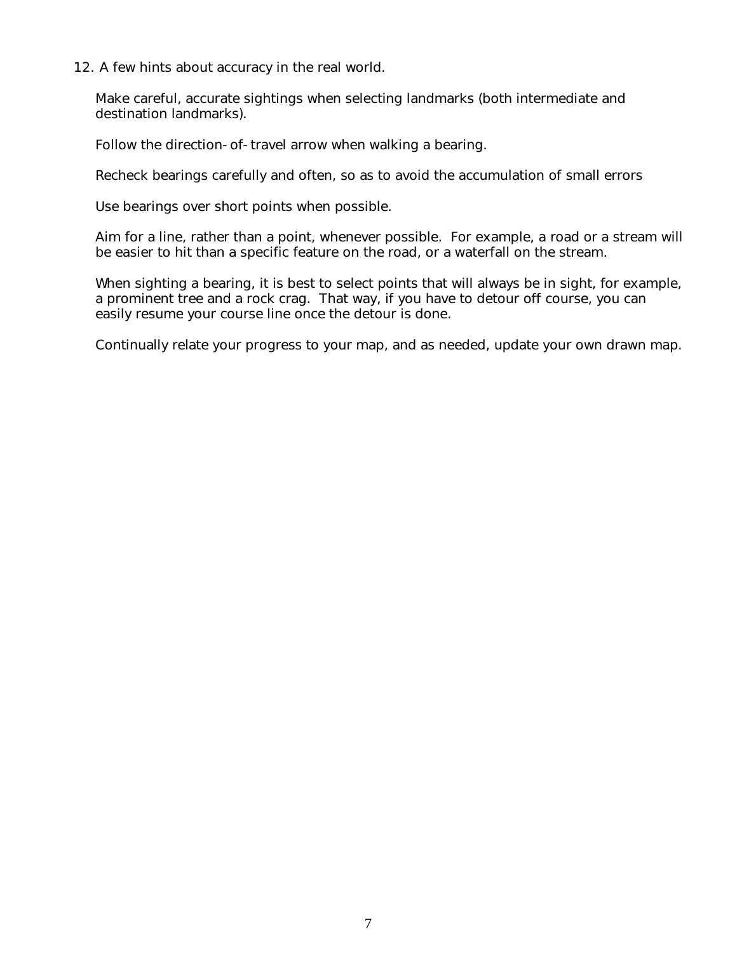12. A few hints about accuracy in the real world.

Make careful, accurate sightings when selecting landmarks (both intermediate and destination landmarks).

Follow the direction-of-travel arrow when walking a bearing.

Recheck bearings carefully and often, so as to avoid the accumulation of small errors

Use bearings over short points when possible.

Aim for a line, rather than a point, whenever possible. For example, a road or a stream will be easier to hit than a specific feature on the road, or a waterfall on the stream.

When sighting a bearing, it is best to select points that will always be in sight, for example, a prominent tree and a rock crag. That way, if you have to detour off course, you can easily resume your course line once the detour is done.

Continually relate your progress to your map, and as needed, update your own drawn map.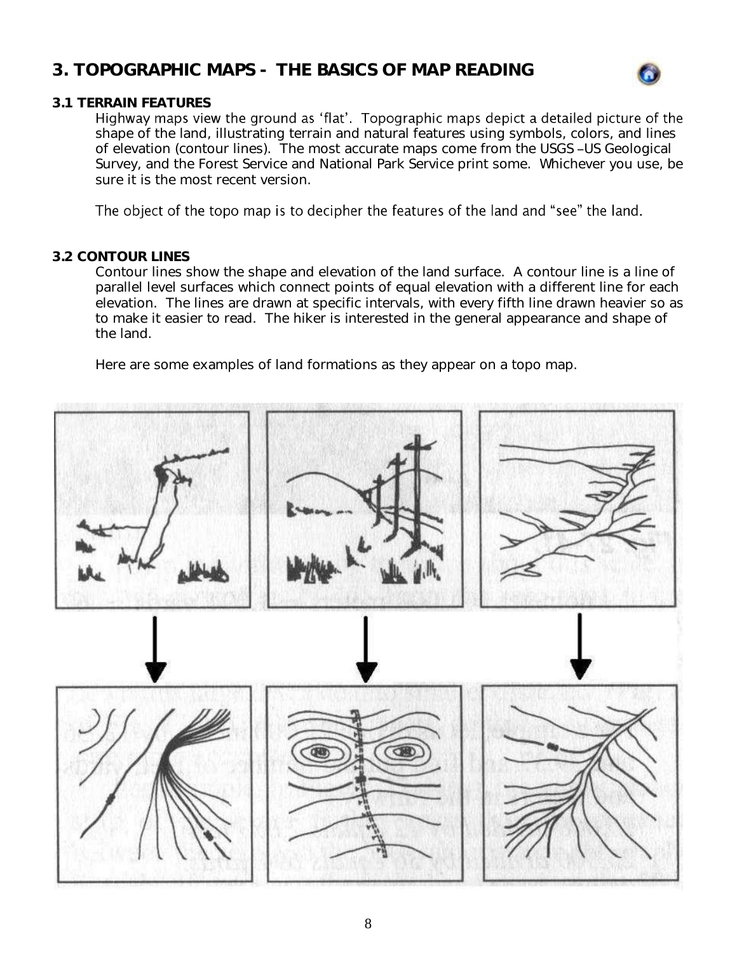# <span id="page-7-0"></span>**3. TOPOGRAPHIC MAPS - THE BASICS OF MAP READING**



### **3.1 TERRAIN FEATURES**

Highway maps view the ground as 'flat'. Topographic maps depict a detailed picture of the shape of the land, illustrating terrain and natural features using symbols, colors, and lines of elevation (contour lines). The most accurate maps come from the USGS-US Geological Survey, and the Forest Service and National Park Service print some. Whichever you use, be sure it is the most recent version.

The object of the topo map is to decipher the features of the land and "see" the land.

### **3.2 CONTOUR LINES**

Contour lines show the shape and elevation of the land surface. A contour line is a line of parallel level surfaces which connect points of equal elevation with a different line for each elevation. The lines are drawn at specific intervals, with every fifth line drawn heavier so as to make it easier to read. The hiker is interested in the general appearance and shape of the land.

Here are some examples of land formations as they appear on a topo map.

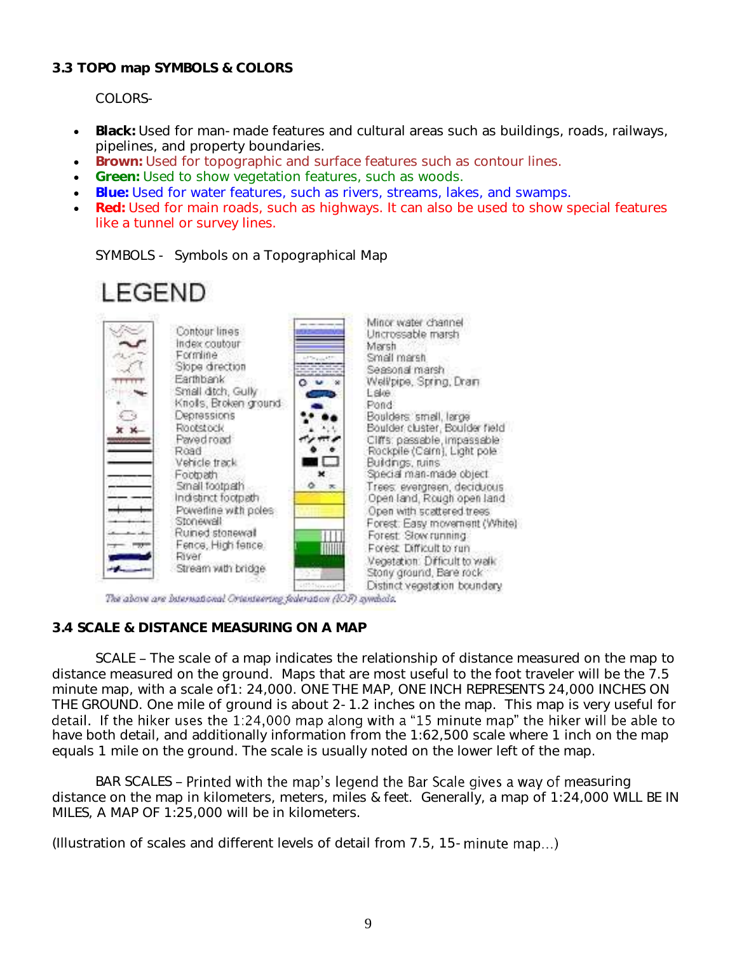## **3.3 TOPO map SYMBOLS & COLORS**

COLORS-

- **Black:** Used for man-made features and cultural areas such as buildings, roads, railways, pipelines, and property boundaries.
- **Brown:** Used for topographic and surface features such as contour lines.
- **Green:** Used to show vegetation features, such as woods.
- **Blue:** Used for water features, such as rivers, streams, lakes, and swamps.
- **Red:** Used for main roads, such as highways. It can also be used to show special features like a tunnel or survey lines.

SYMBOLS - Symbols on a Topographical Map

| LEGEND | Contour lines<br>Index coutour<br>Formine<br>Slope direction<br>Earthbank<br>Small ditch, Gully<br>Kriolis, Broken ground-<br>Depressions<br>Rootstock<br>Paved road<br>Road<br>Vehicle track<br>Footpath<br>Small footpath<br>Indistinct footpath<br>Powerline with poles<br>Stonewall<br>Ruined stonewall | ×               | Minor water channel<br>Uncrossable marsh<br>Marsh<br>Small marsh<br>Seasonal marsh<br>Well'pipe, Spring, Dram<br>$-808$<br>Pond<br>Boulders, small, large<br>Boulder cluster, Boulder Neld<br>Cliffs: passable, impassable<br>Rockpile (Calrn), Light pole<br>Buildings, ruins.<br>Special man-made object<br>Trees: evergreen, deciduous<br>Open land, Rough open land<br>Open with scattered trees<br>Forest: Easy movement (White)<br>Forest Slow running |
|--------|-------------------------------------------------------------------------------------------------------------------------------------------------------------------------------------------------------------------------------------------------------------------------------------------------------------|-----------------|--------------------------------------------------------------------------------------------------------------------------------------------------------------------------------------------------------------------------------------------------------------------------------------------------------------------------------------------------------------------------------------------------------------------------------------------------------------|
|        | Fence, High fence.<br>River<br>Stream with bridge<br>The above are international Orienteering federation (IOF) symbols.                                                                                                                                                                                     | LEST Live incl. | Forest Difficult to run<br>Vegetation: Difficult to walk<br>Stony ground, Bare rock<br>Distinct vegetation boundary                                                                                                                                                                                                                                                                                                                                          |

## **3.4 SCALE & DISTANCE MEASURING ON A MAP**

SCALE - The scale of a map indicates the relationship of distance measured on the map to distance measured on the ground. Maps that are most useful to the foot traveler will be the 7.5 minute map, with a scale of1: 24,000. ONE THE MAP, ONE INCH REPRESENTS 24,000 INCHES ON THE GROUND. One mile of ground is about 2-1.2 inches on the map. This map is very useful for detail. If the hiker uses the 1:24,000 map along with a "15 minute map" the hiker will be able to have both detail, and additionally information from the 1:62,500 scale where 1 inch on the map equals 1 mile on the ground. The scale is usually noted on the lower left of the map.

BAR SCALES - Printed with the map's legend the Bar Scale gives a way of measuring distance on the map in kilometers, meters, miles & feet. Generally, a map of 1:24,000 WILL BE IN MILES, A MAP OF 1:25,000 will be in kilometers.

(Illustration of scales and different levels of detail from 7.5, 15-minute map...)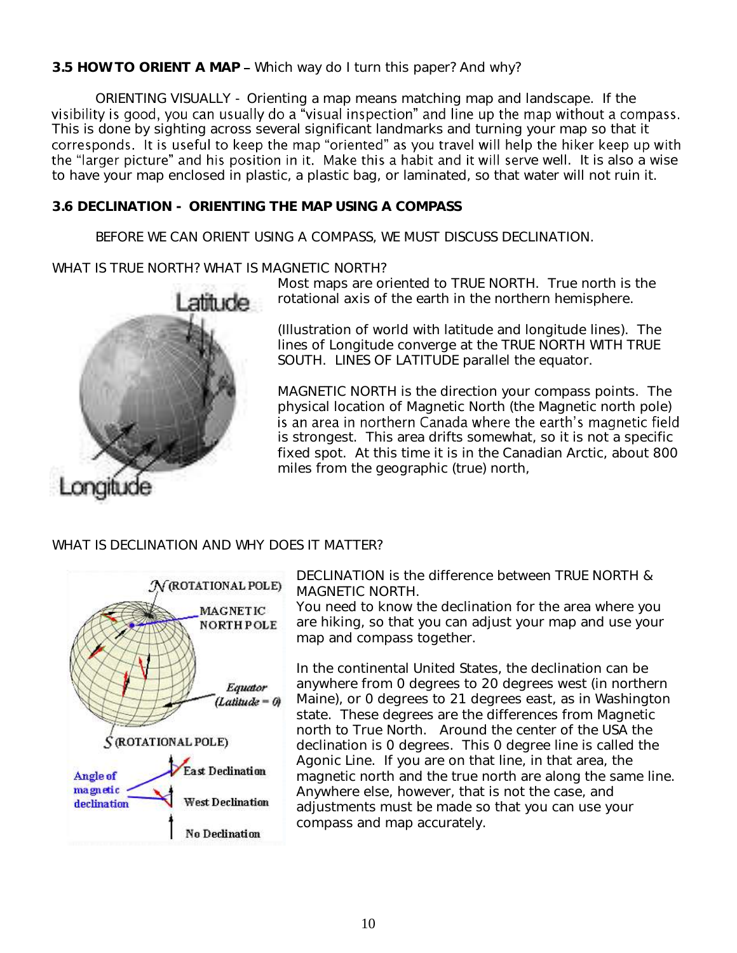3.5 HOW TO ORIENT A MAP - Which way do I turn this paper? And why?

ORIENTING VISUALLY - Orienting a map means matching map and landscape. If the visibility is good, you can usually do a "visual inspection" and line up the map without a compass. This is done by sighting across several significant landmarks and turning your map so that it corresponds. It is useful to keep the map "oriented" as you travel will help the hiker keep up with the "larger picture" and his position in it. Make this a habit and it will serve well. It is also a wise to have your map enclosed in plastic, a plastic bag, or laminated, so that water will not ruin it.

**3.6 DECLINATION - ORIENTING THE MAP USING A COMPASS** 

BEFORE WE CAN ORIENT USING A COMPASS, WE MUST DISCUSS DECLINATION.

WHAT IS TRUE NORTH? WHAT IS MAGNETIC NORTH?



Most maps are oriented to TRUE NORTH. True north is the rotational axis of the earth in the northern hemisphere.

(Illustration of world with latitude and longitude lines). The lines of Longitude converge at the TRUE NORTH WITH TRUE SOUTH. LINES OF LATITUDE parallel the equator.

MAGNETIC NORTH is the direction your compass points. The physical location of Magnetic North (the Magnetic north pole) is an area in northern Canada where the earth's magnetic field is strongest. This area drifts somewhat, so it is not a specific fixed spot. At this time it is in the Canadian Arctic, about 800 miles from the geographic (true) north,

## WHAT IS DECLINATION AND WHY DOES IT MATTER?



DECLINATION is the difference between TRUE NORTH & MAGNETIC NORTH.

You need to know the declination for the area where you are hiking, so that you can adjust your map and use your map and compass together.

In the continental United States, the declination can be anywhere from 0 degrees to 20 degrees west (in northern Maine), or 0 degrees to 21 degrees east, as in Washington state. These degrees are the differences from Magnetic north to True North. Around the center of the USA the declination is 0 degrees. This 0 degree line is called the Agonic Line. If you are on that line, in that area, the magnetic north and the true north are along the same line. Anywhere else, however, that is not the case, and adjustments must be made so that you can use your compass and map accurately.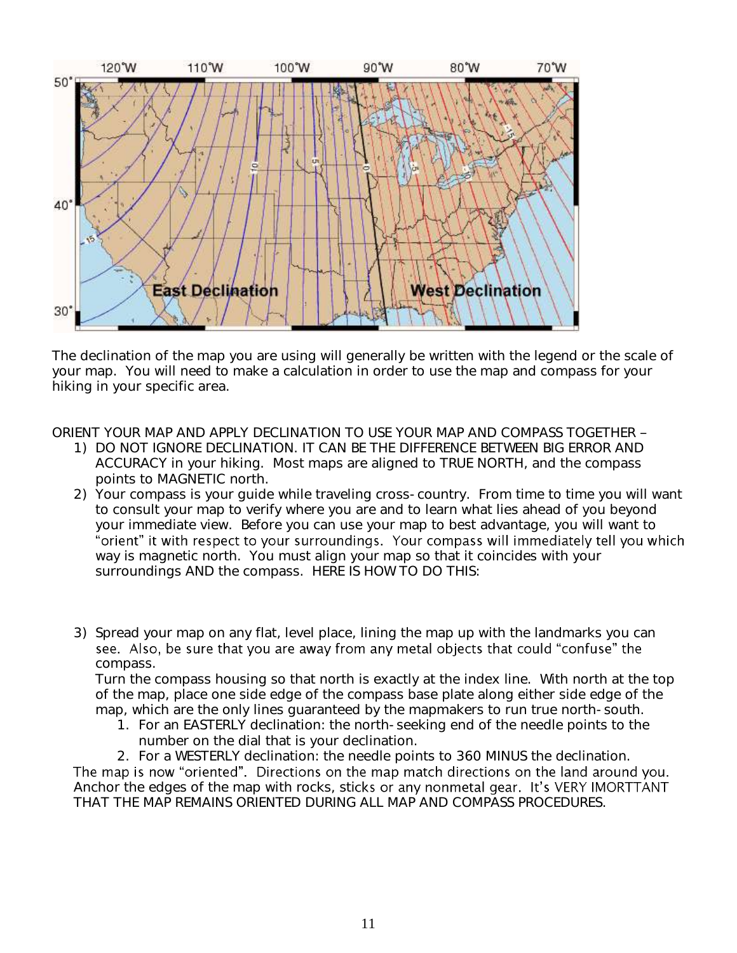

The declination of the map you are using will generally be written with the legend or the scale of your map. You will need to make a calculation in order to use the map and compass for your hiking in your specific area.

ORIENT YOUR MAP AND APPLY DECLINATION TO USE YOUR MAP AND COMPASS TOGETHER

- 1) DO NOT IGNORE DECLINATION. IT CAN BE THE DIFFERENCE BETWEEN BIG ERROR AND ACCURACY in your hiking. Most maps are aligned to TRUE NORTH, and the compass points to MAGNETIC north.
- 2) Your compass is your guide while traveling cross-country. From time to time you will want to consult your map to verify where you are and to learn what lies ahead of you beyond your immediate view. Before you can use your map to best advantage, you will want to<br>"orient" it with respect to your surroundings. Your compass will immediately tell you which way is magnetic north. You must align your map so that it coincides with your surroundings AND the compass. HERE IS HOW TO DO THIS:
- 3) Spread your map on any flat, level place, lining the map up with the landmarks you can see. Also, be sure that you are away from any metal objects that could "confuse" the compass.

Turn the compass housing so that north is exactly at the index line. With north at the top of the map, place one side edge of the compass base plate along either side edge of the map, which are the only lines guaranteed by the mapmakers to run true north-south.

- 1. For an EASTERLY declination: the north-seeking end of the needle points to the number on the dial that is your declination.
- 

2. For a WESTERLY declination: the needle points to 360 MINUS the declination.<br>The map is now "oriented". Directions on the map match directions on the land around you. Anchor the edges of the map with rocks, sticks or any nonmetal gear. It's VERY IMORTTANT THAT THE MAP REMAINS ORIENTED DURING ALL MAP AND COMPASS PROCEDURES.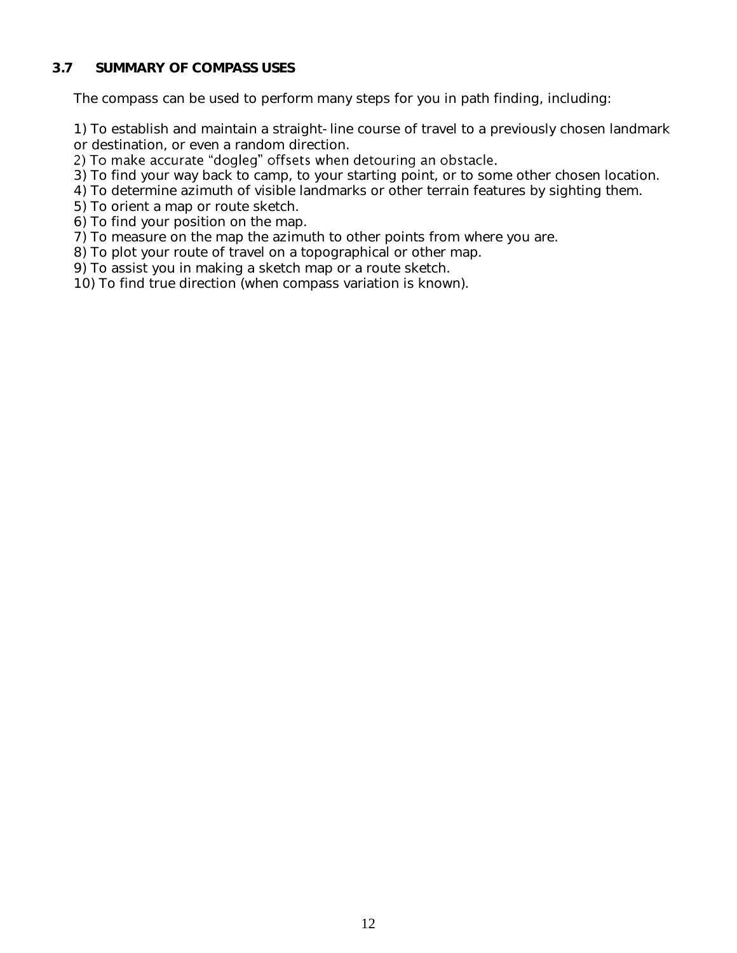### **3.7 SUMMARY OF COMPASS USES**

The compass can be used to perform many steps for you in path finding, including:

1) To establish and maintain a straight-line course of travel to a previously chosen landmark

# or destination, or even a random direction.<br>2) To make accurate "dogleg" offsets when detouring an obstacle.

3) To find your way back to camp, to your starting point, or to some other chosen location.

4) To determine azimuth of visible landmarks or other terrain features by sighting them.

- 5) To orient a map or route sketch.
- 6) To find your position on the map.
- 7) To measure on the map the azimuth to other points from where you are.

8) To plot your route of travel on a topographical or other map.

9) To assist you in making a sketch map or a route sketch.

10) To find true direction (when compass variation is known).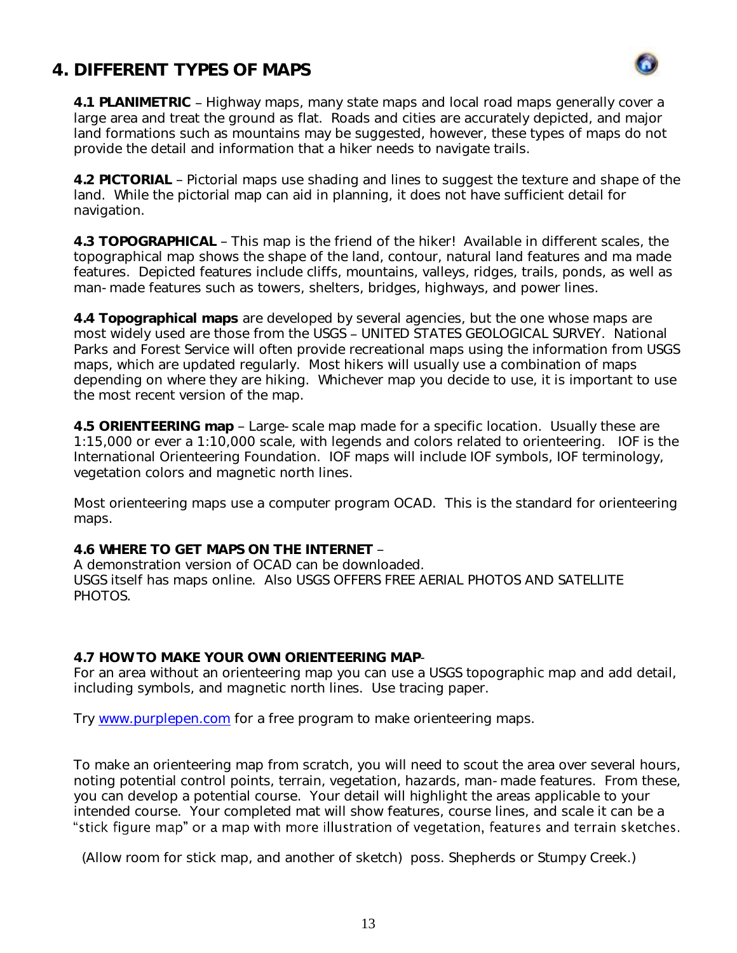# <span id="page-12-0"></span>**4. DIFFERENT TYPES OF MAPS**



**4.1 PLANIMETRIC** Highway maps, many state maps and local road maps generally cover a large area and treat the ground as flat. Roads and cities are accurately depicted, and major land formations such as mountains may be suggested, however, these types of maps do not provide the detail and information that a hiker needs to navigate trails.

**4.2 PICTORIAL** Pictorial maps use shading and lines to suggest the texture and shape of the land. While the pictorial map can aid in planning, it does not have sufficient detail for navigation.

**4.3 TOPOGRAPHICAL** This map is the friend of the hiker! Available in different scales, the topographical map shows the shape of the land, contour, natural land features and ma made features. Depicted features include cliffs, mountains, valleys, ridges, trails, ponds, as well as man-made features such as towers, shelters, bridges, highways, and power lines.

**4.4 Topographical maps** are developed by several agencies, but the one whose maps are most widely used are those from the USGS - UNITED STATES GEOLOGICAL SURVEY. National Parks and Forest Service will often provide recreational maps using the information from USGS maps, which are updated regularly. Most hikers will usually use a combination of maps depending on where they are hiking. Whichever map you decide to use, it is important to use the most recent version of the map.

**4.5 ORIENTEERING map** Large-scale map made for a specific location. Usually these are 1:15,000 or ever a 1:10,000 scale, with legends and colors related to orienteering. IOF is the International Orienteering Foundation. IOF maps will include IOF symbols, IOF terminology, vegetation colors and magnetic north lines.

Most orienteering maps use a computer program OCAD. This is the standard for orienteering maps.

**4.6 WHERE TO GET MAPS ON THE INTERNET** A demonstration version of OCAD can be downloaded. USGS itself has maps online. Also USGS OFFERS FREE AERIAL PHOTOS AND SATELLITE PHOTOS.

**4.7 HOW TO MAKE YOUR OWN ORIENTEERING MAP**-

For an area without an orienteering map you can use a USGS topographic map and add detail, including symbols, and magnetic north lines. Use tracing paper.

Try [www.purplepen.com](http://www.purplepen.com/) for a free program to make orienteering maps.

To make an orienteering map from scratch, you will need to scout the area over several hours, noting potential control points, terrain, vegetation, hazards, man-made features. From these, you can develop a potential course. Your detail will highlight the areas applicable to your intended course. Your completed mat will show features, course lines, and scale it can be a "stick figure map" or a map with more illustration of vegetation, features and terrain sketches.

(Allow room for stick map, and another of sketch) poss. Shepherds or Stumpy Creek.)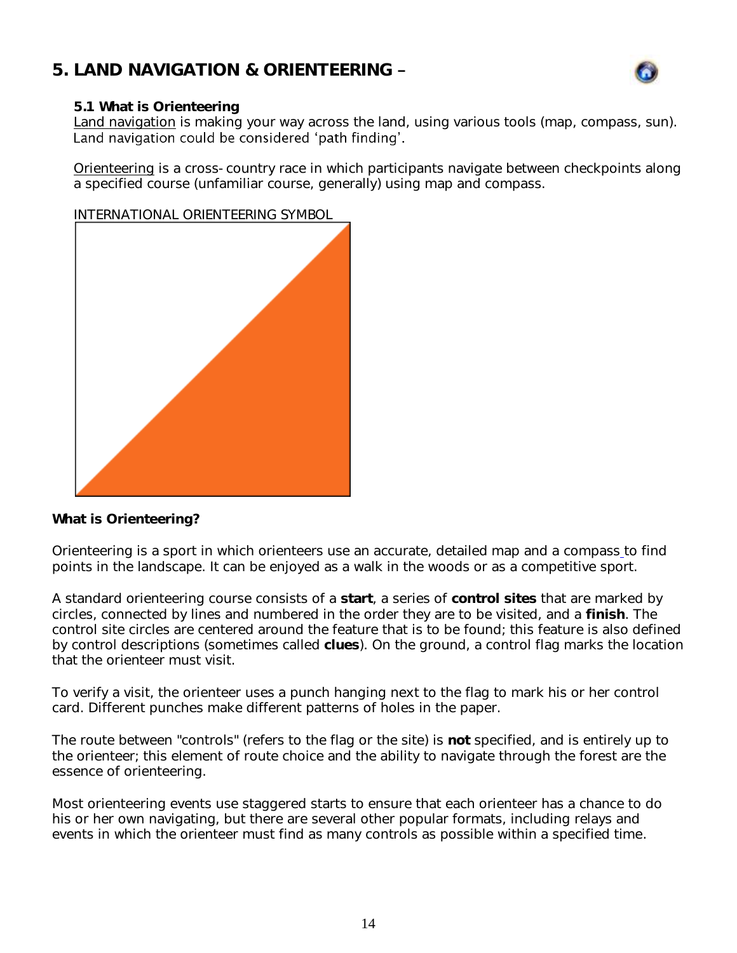# <span id="page-13-0"></span>**5. LAND NAVIGATION & ORIENTEERING**



### **5.1 What is Orienteering**

Land navigation is making your way across the land, using various tools (map, compass, sun). Land navigation could be considered 'path finding'.

Orienteering is a cross-country race in which participants navigate between checkpoints along a specified course (unfamiliar course, generally) using map and compass.

INTERNATIONAL ORIENTEERING SYMBOL



*What is Orienteering?*

Orienteering is a sport in which orienteers use an accurate, detailed map and a [compass](http://www.williams.edu/Biology/Faculty_Staff/hwilliams/Orienteering/compass.html) to find points in the landscape. It can be enjoyed as a walk in the woods or as a competitive sport.

A standard orienteering course consists of a **start**, a series of **control sites** that are marked by circles, connected by lines and numbered in the order they are to be visited, and a **finish**. The control site circles are centered around the feature that is to be found; this feature is also defined by [control descriptions](http://www.williams.edu/Biology/Faculty_Staff/hwilliams/Orienteering/course.html#easyclues) (sometimes called **clues**). On the ground, a control flag marks the location that the orienteer must visit.

To verify a visit, the orienteer uses a punch hanging next to the flag to mark his or her control card. Different punches make different patterns of holes in the paper.

The route between "controls" (refers to the flag or the site) is **not** specified, and is entirely up to the orienteer; this element of route choice and the ability to navigate through the forest are the essence of orienteering.

Most orienteering events use staggered starts to ensure that each orienteer has a chance to do his or her own navigating, but there are several other popular formats, including relays and events in which the orienteer must find as many controls as possible within a specified time.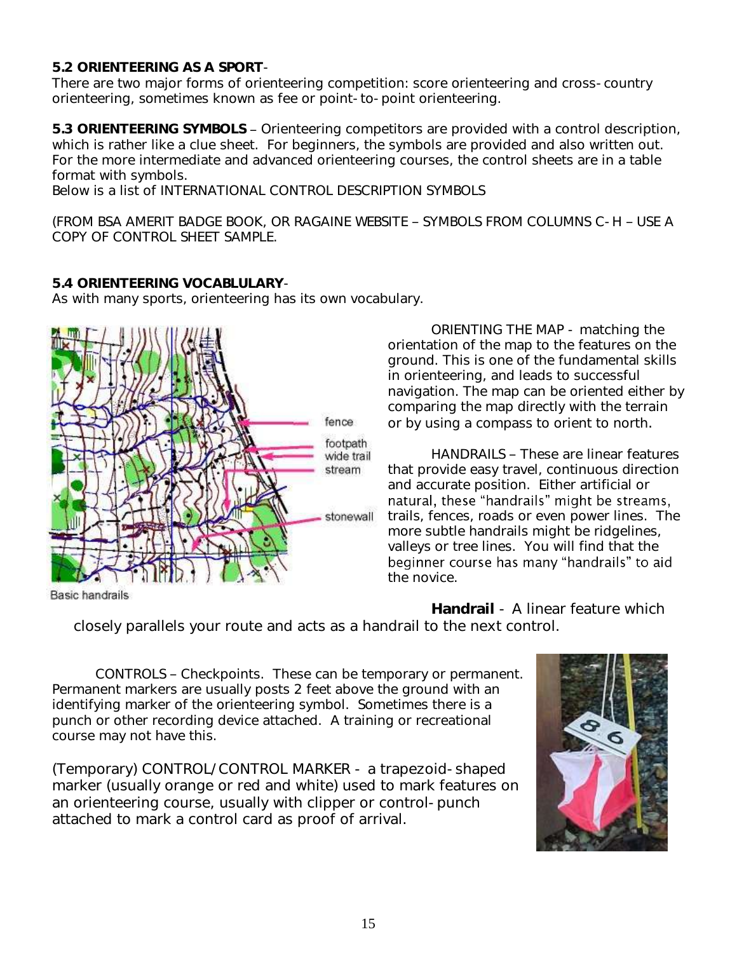**5.2 ORIENTEERING AS A SPORT**-

There are two major forms of orienteering competition: score orienteering and cross-country orienteering, sometimes known as fee or point-to-point orienteering.

5.3 ORIENTEERING SYMBOLS - Orienteering competitors are provided with a control description, which is rather like a clue sheet. For beginners, the symbols are provided and also written out. For the more intermediate and advanced orienteering courses, the control sheets are in a table format with symbols.

Below is a list of INTERNATIONAL CONTROL DESCRIPTION SYMBOLS

(FROM BSA AMERIT BADGE BOOK, OR RAGAINE WEBSITE - SYMBOLS FROM COLUMNS C-H - USE A COPY OF CONTROL SHEET SAMPLE.

**5.4 ORIENTEERING VOCABLULARY**-

As with many sports, orienteering has its own vocabulary.



**Basic handrails** 

ORIENTING THE MAP - matching the orientation of the map to the features on the ground. This is one of the fundamental skills in orienteering, and leads to successful navigation. The map can be oriented either by comparing the map directly with the terrain or by using a compass to orient to north.

HANDRAILS - These are linear features that provide easy travel, continuous direction and accurate position. Either artificial or natural, these "handrails" might be streams, trails, fences, roads or even power lines. The more subtle handrails might be ridgelines, valleys or tree lines. You will find that the beginner course has many "handrails" to aid the novice.

**Handrail** - A linear feature which closely parallels your route and acts as a handrail to the next control.

CONTROLS - Checkpoints. These can be temporary or permanent. Permanent markers are usually posts 2 feet above the ground with an identifying marker of the orienteering symbol. Sometimes there is a punch or other recording device attached. A training or recreational course may not have this.

(Temporary) CONTROL/CONTROL MARKER - a trapezoid-shaped marker (usually orange or red and white) used to mark features on an orienteering course, usually with clipper or control-punch attached to mark a control card as proof of arrival.

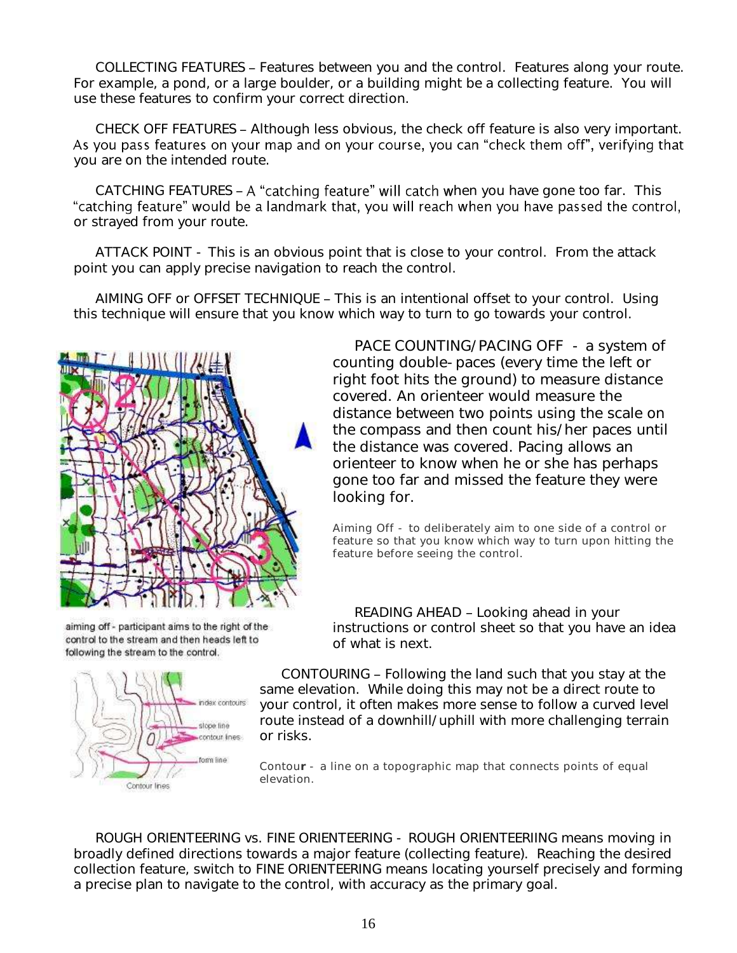COLLECTING FEATURES - Features between you and the control. Features along your route. For example, a pond, or a large boulder, or a building might be a collecting feature. You will use these features to confirm your correct direction.

CHECK OFF FEATURES – Although less obvious, the check off feature is also very important. As you pass features on your map and on your course, you can "check them off", verifying that you are on the intended route.

CATCHING FEATURES - A "catching feature" will catch when you have gone too far. This "catching feature" would be a landmark that, you will reach when you have passed the control, or strayed from your route.

ATTACK POINT - This is an obvious point that is close to your control. From the attack point you can apply precise navigation to reach the control.

AIMING OFF or OFFSET TECHNIQUE - This is an intentional offset to your control. Using this technique will ensure that you know which way to turn to go towards your control.



PACE COUNTING/PACING OFF - a system of counting double-paces (every time the left or right foot hits the ground) to measure distance covered. An orienteer would measure the distance between two points using the scale on the compass and then count his/her paces until the distance was covered. Pacing allows an orienteer to know when he or she has perhaps gone too far and missed the feature they were looking for.

Aiming Off - to deliberately aim to one side of a control or feature so that you know which way to turn upon hitting the feature before seeing the control.

aiming off - participant aims to the right of the control to the stream and then heads left to following the stream to the control.



READING AHEAD - Looking ahead in your instructions or control sheet so that you have an idea of what is next.

CONTOURING - Following the land such that you stay at the same elevation. While doing this may not be a direct route to your control, it often makes more sense to follow a curved level route instead of a downhill/uphill with more challenging terrain or risks.

Contou**r** - a line on a topographic map that connects points of equal elevation.

ROUGH ORIENTEERING vs. FINE ORIENTEERING - ROUGH ORIENTEERIING means moving in broadly defined directions towards a major feature (collecting feature). Reaching the desired collection feature, switch to FINE ORIENTEERING means locating yourself precisely and forming a precise plan to navigate to the control, with accuracy as the primary goal.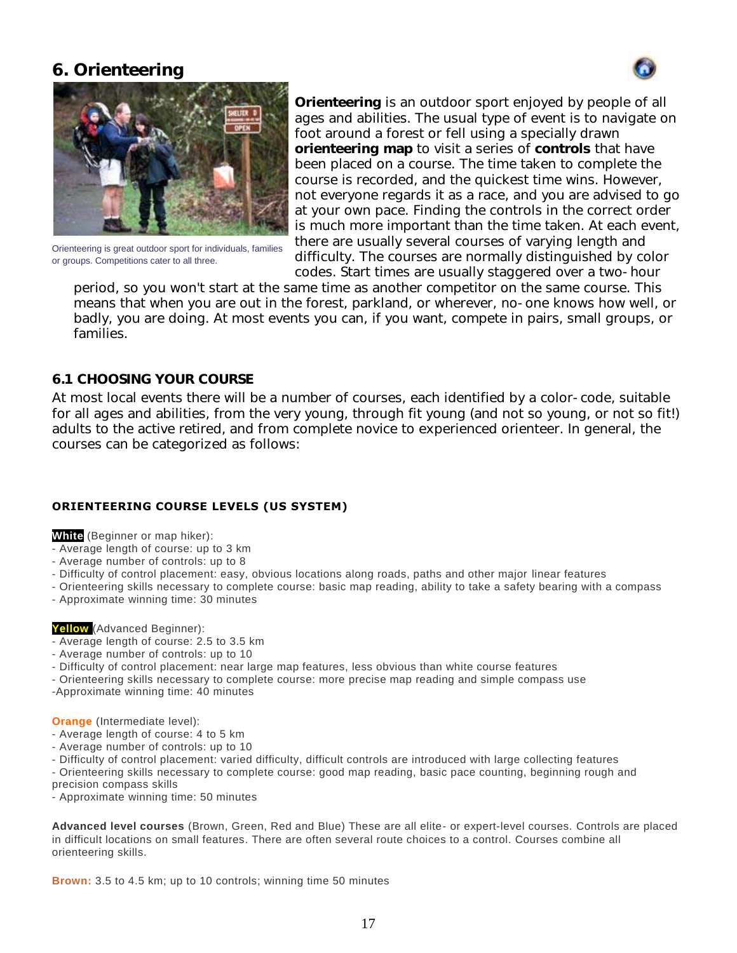# <span id="page-16-0"></span>**6. Orienteering**





Orienteering is great outdoor sport for individuals, families or groups. Competitions cater to all three.

**Orienteering** is an outdoor sport enjoyed by people of all ages and abilities. The usual type of event is to navigate on foot around a forest or fell using a specially drawn **orienteering map** to visit a series of **controls** that have been placed on a course. The time taken to complete the course is recorded, and the quickest time wins. However, not everyone regards it as a race, and you are advised to go at your own pace. Finding the controls in the correct order is much more important than the time taken. At each event, there are usually several courses of varying length and difficulty. The courses are normally distinguished by color codes. Start times are usually staggered over a two-hour

period, so you won't start at the same time as another competitor on the same course. This means that when you are out in the forest, parkland, or wherever, no-one knows how well, or badly, you are doing. At most events you can, if you want, compete in pairs, small groups, or families.

### **6.1 CHOOSING YOUR COURSE**

At most local events there will be a number of courses, each identified by a color-code, suitable for all ages and abilities, from the very young, through fit young (and not so young, or not so fit!) adults to the active retired, and from complete novice to experienced orienteer. In general, the courses can be categorized as follows:

### **ORIENTEERING COURSE LEVELS (US SYSTEM)**

**White** (Beginner or map hiker):

- Average length of course: up to 3 km
- Average number of controls: up to 8
- Difficulty of control placement: easy, obvious locations along roads, paths and other major linear features
- Orienteering skills necessary to complete course: basic map reading, ability to take a safety bearing with a compass - Approximate winning time: 30 minutes

#### **Yellow** (Advanced Beginner):

- Average length of course: 2.5 to 3.5 km
- Average number of controls: up to 10
- Difficulty of control placement: near large map features, less obvious than white course features
- Orienteering skills necessary to complete course: more precise map reading and simple compass use

-Approximate winning time: 40 minutes

#### **Orange** (Intermediate level):

- Average length of course: 4 to 5 km
- Average number of controls: up to 10
- Difficulty of control placement: varied difficulty, difficult controls are introduced with large collecting features
- Orienteering skills necessary to complete course: good map reading, basic pace counting, beginning rough and precision compass skills
- Approximate winning time: 50 minutes

**Advanced level courses** (Brown, Green, Red and Blue) These are all elite- or expert-level courses. Controls are placed in difficult locations on small features. There are often several route choices to a control. Courses combine all orienteering skills.

**Brown:** 3.5 to 4.5 km; up to 10 controls; winning time 50 minutes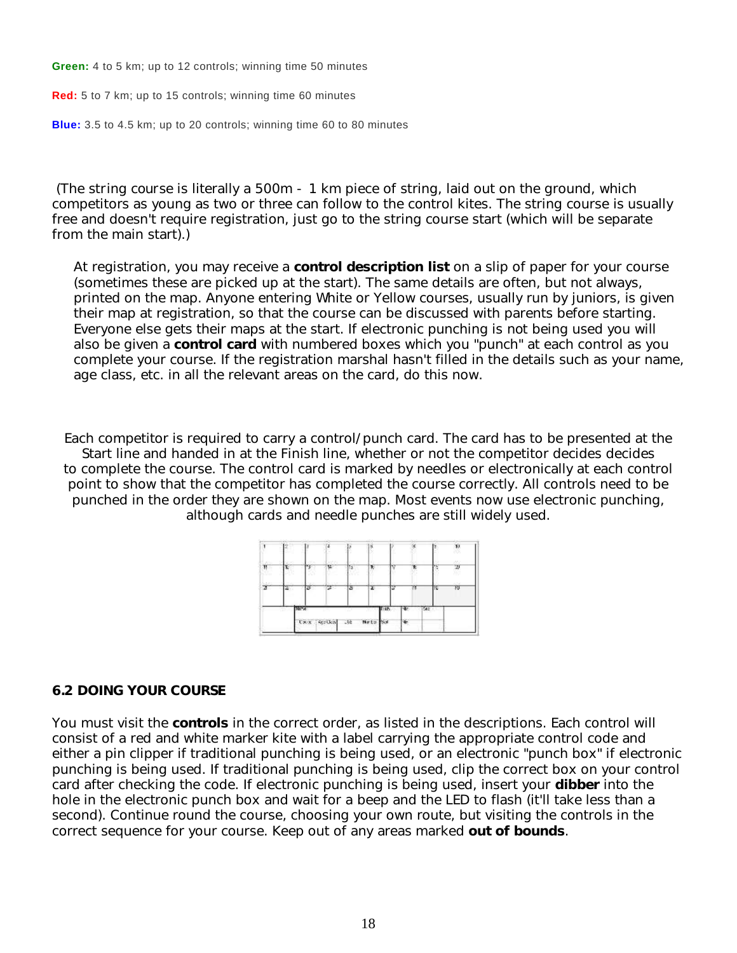**Green:** 4 to 5 km; up to 12 controls; winning time 50 minutes

**Red:** 5 to 7 km; up to 15 controls; winning time 60 minutes

**Blue:** 3.5 to 4.5 km; up to 20 controls; winning time 60 to 80 minutes

(The *string course* is literally a 500m - 1 km piece of string, laid out on the ground, which competitors as young as two or three can follow to the control kites. The string course is usually free and doesn't require registration, just go to the string course start (which will be separate from the main start).)

At registration, you may receive a **control description list** on a slip of paper for your course (sometimes these are picked up at the start). The same details are often, but not always, printed on the map. Anyone entering White or Yellow courses, usually run by juniors, is given their map at registration, so that the course can be discussed with parents before starting. Everyone else gets their maps at the start. If electronic punching is *not* being used you will also be given a **control card** with numbered boxes which you "punch" at each control as you complete your course. If the registration marshal hasn't filled in the details such as your name, age class, etc. in all the relevant areas on the card, do this now.

Each competitor is required to carry a control/punch card. The card has to be presented at the Start line and handed in at the Finish line, whether or not the competitor decides decides to complete the course. The control card is marked by needles or electronically at each control point to show that the competitor has completed the course correctly. All controls need to be punched in the order they are shown on the map. Most events now use electronic punching, although cards and needle punches are still widely used.



### **6.2 DOING YOUR COURSE**

You must visit the **controls** in the correct order, as listed in the descriptions. Each control will consist of a red and white marker kite with a label carrying the appropriate control code and either a pin clipper if traditional punching is being used, or an electronic "punch box" if electronic punching is being used. If traditional punching is being used, clip the correct box on your control card after checking the code. If electronic punching is being used, insert your **dibber** into the hole in the electronic punch box and wait for a beep and the LED to flash (it'll take less than a second). Continue round the course, choosing your own route, but visiting the controls in the correct sequence for your course. Keep out of any areas marked **out of bounds**.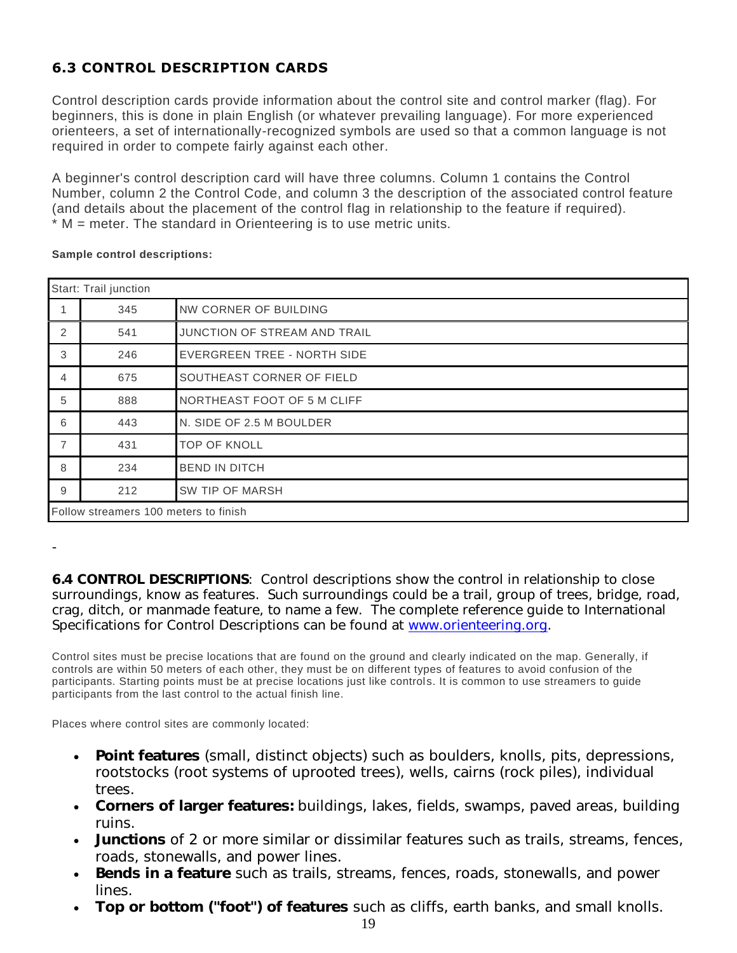# **6.3 CONTROL DESCRIPTION CARDS**

Control description cards provide information about the control site and control marker (flag). For beginners, this is done in plain English (or whatever prevailing language). For more experienced orienteers, a set of internationally-recognized symbols are used so that a common language is not required in order to compete fairly against each other.

A beginner's control description card will have three columns. Column 1 contains the Control Number, column 2 the Control Code, and column 3 the description of the associated control feature (and details about the placement of the control flag in relationship to the feature if required). \* M = meter. The standard in Orienteering is to use metric units.

| Start: Trail junction                 |     |                              |  |  |
|---------------------------------------|-----|------------------------------|--|--|
|                                       | 345 | NW CORNER OF BUILDING        |  |  |
| 2                                     | 541 | JUNCTION OF STREAM AND TRAIL |  |  |
| 3                                     | 246 | EVERGREEN TREE - NORTH SIDE  |  |  |
| 4                                     | 675 | SOUTHEAST CORNER OF FIELD    |  |  |
| 5                                     | 888 | NORTHEAST FOOT OF 5 M CLIFF  |  |  |
| 6                                     | 443 | N. SIDE OF 2.5 M BOULDER     |  |  |
| $\overline{7}$                        | 431 | <b>TOP OF KNOLL</b>          |  |  |
| 8                                     | 234 | <b>BEND IN DITCH</b>         |  |  |
| 9                                     | 212 | <b>SW TIP OF MARSH</b>       |  |  |
| Follow streamers 100 meters to finish |     |                              |  |  |

#### **Sample control descriptions:**

-

**6.4 CONTROL DESCRIPTIONS**: Control descriptions show the control in relationship to close surroundings, know as features. Such surroundings could be a trail, group of trees, bridge, road, crag, ditch, or manmade feature, to name a few. The complete reference guide to International Specifications for Control Descriptions can be found at [www.orienteering.org.](http://www.orienteering.org/)

Control sites must be precise locations that are found on the ground and clearly indicated on the map. Generally, if controls are within 50 meters of each other, they must be on different types of features to avoid confusion of the participants. Starting points must be at precise locations just like controls. It is common to use streamers to guide participants from the last control to the actual finish line.

Places where control sites are commonly located:

- **Point features** (small, distinct objects) such as boulders, knolls, pits, depressions, rootstocks (root systems of uprooted trees), wells, cairns (rock piles), individual trees.
- **Corners of larger features:** buildings, lakes, fields, swamps, paved areas, building ruins.
- **Junctions** of 2 or more similar or dissimilar features such as trails, streams, fences, roads, stonewalls, and power lines.
- **Bends in a feature** such as trails, streams, fences, roads, stonewalls, and power lines.
- **Top or bottom ("foot") of features** such as cliffs, earth banks, and small knolls.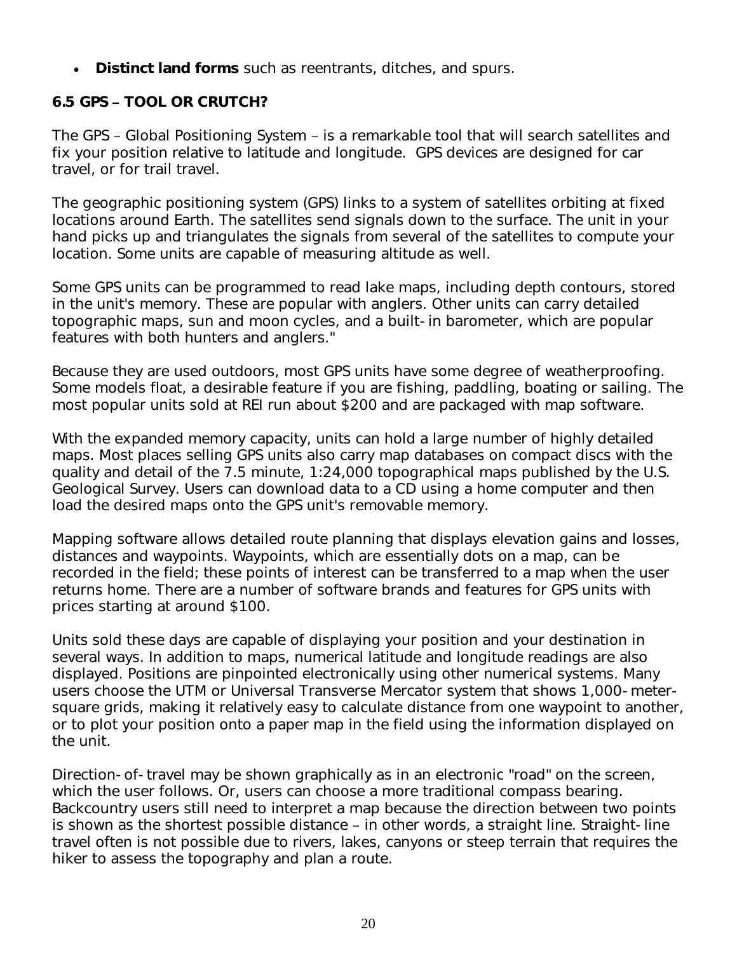**Distinct land forms** such as reentrants, ditches, and spurs.

# **6.5 GPS TOOL OR CRUTCH?**

The GPS - Global Positioning System - is a remarkable tool that will search satellites and fix your position relative to latitude and longitude. GPS devices are designed for car travel, or for trail travel.

The geographic positioning system (GPS) links to a system of satellites orbiting at fixed locations around Earth. The satellites send signals down to the surface. The unit in your hand picks up and triangulates the signals from several of the satellites to compute your location. Some units are capable of measuring altitude as well.

Some GPS units can be programmed to read lake maps, including depth contours, stored in the unit's memory. These are popular with anglers. Other units can carry detailed topographic maps, sun and moon cycles, and a built-in barometer, which are popular features with both hunters and anglers."

Because they are used outdoors, most GPS units have some degree of weatherproofing. Some models float, a desirable feature if you are fishing, paddling, boating or sailing. The most popular units sold at REI run about \$200 and are packaged with map software.

With the expanded memory capacity, units can hold a large number of highly detailed maps. Most places selling GPS units also carry map databases on compact discs with the quality and detail of the 7.5 minute, 1:24,000 topographical maps published by the U.S. Geological Survey. Users can download data to a CD using a home computer and then load the desired maps onto the GPS unit's removable memory.

Mapping software allows detailed route planning that displays elevation gains and losses, distances and waypoints. Waypoints, which are essentially dots on a map, can be recorded in the field; these points of interest can be transferred to a map when the user returns home. There are a number of software brands and features for GPS units with prices starting at around \$100.

Units sold these days are capable of displaying your position and your destination in several ways. In addition to maps, numerical latitude and longitude readings are also displayed. Positions are pinpointed electronically using other numerical systems. Many users choose the UTM or Universal Transverse Mercator system that shows 1,000-metersquare grids, making it relatively easy to calculate distance from one waypoint to another, or to plot your position onto a paper map in the field using the information displayed on the unit.

Direction-of-travel may be shown graphically as in an electronic "road" on the screen, which the user follows. Or, users can choose a more traditional compass bearing. Backcountry users still need to interpret a map because the direction between two points is shown as the shortest possible distance - in other words, a straight line. Straight-line travel often is not possible due to rivers, lakes, canyons or steep terrain that requires the hiker to assess the topography and plan a route.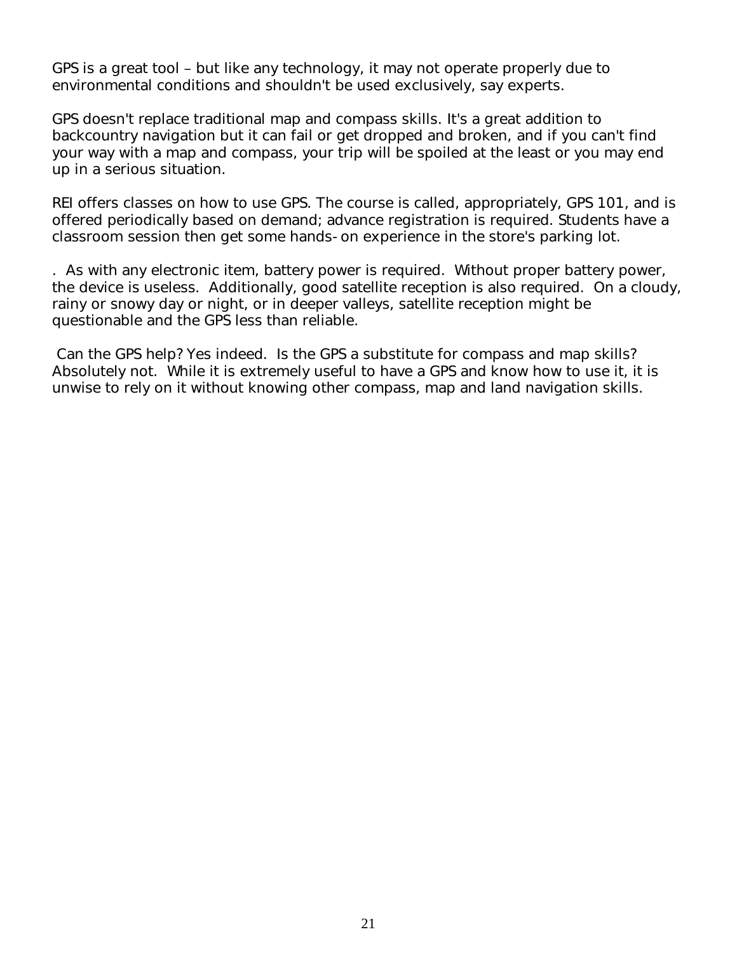GPS is a great tool - but like any technology, it may not operate properly due to environmental conditions and shouldn't be used exclusively, say experts.

GPS doesn't replace traditional map and compass skills. It's a great addition to backcountry navigation but it can fail or get dropped and broken, and if you can't find your way with a map and compass, your trip will be spoiled at the least or you may end up in a serious situation.

REI offers classes on how to use GPS. The course is called, appropriately, GPS 101, and is offered periodically based on demand; advance registration is required. Students have a classroom session then get some hands-on experience in the store's parking lot.

. As with any electronic item, battery power is required. Without proper battery power, the device is useless. Additionally, good satellite reception is also required. On a cloudy, rainy or snowy day or night, or in deeper valleys, satellite reception might be questionable and the GPS less than reliable.

Can the GPS help? Yes indeed. Is the GPS a substitute for compass and map skills? Absolutely not. While it is extremely useful to have a GPS and know how to use it, it is unwise to rely on it without knowing other compass, map and land navigation skills.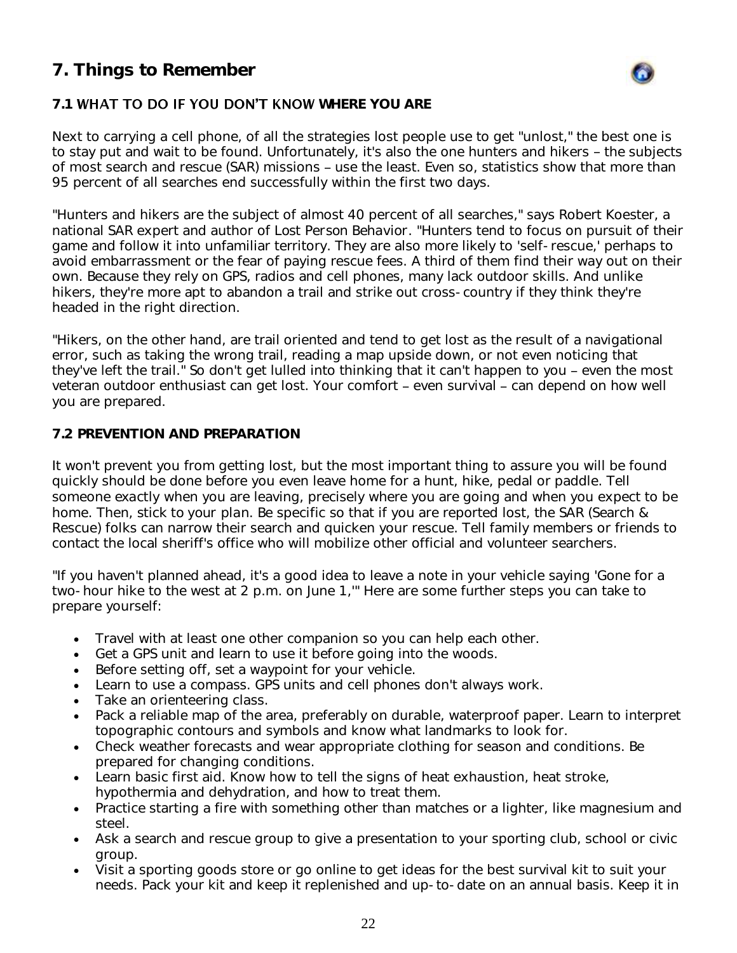# <span id="page-21-0"></span>**7. Things to Remember**



## 7.1 WHAT TO DO IF YOU DON'T KNOW WHERE YOU ARE

Next to carrying a cell phone, of all the strategies lost people use to get "unlost," the best one is to stay put and wait to be found. Unfortunately, it's also the one hunters and hikers - the subjects of most search and rescue (SAR) missions - use the least. Even so, statistics show that more than 95 percent of all searches end successfully within the first two days.

"Hunters and hikers are the subject of almost 40 percent of all searches," says Robert Koester, a national SAR expert and author of *Lost Person Behavior*. "Hunters tend to focus on pursuit of their game and follow it into unfamiliar territory. They are also more likely to 'self-rescue,' perhaps to avoid embarrassment or the fear of paying rescue fees. A third of them find their way out on their own. Because they rely on GPS, radios and cell phones, many lack outdoor skills. And unlike hikers, they're more apt to abandon a trail and strike out cross-country if they think they're headed in the right direction.

"Hikers, on the other hand, are trail oriented and tend to get lost as the result of a navigational error, such as taking the wrong trail, reading a map upside down, or not even noticing that they've left the trail." So don't get lulled into thinking that it can't happen to you - even the most veteran outdoor enthusiast can get lost. Your comfort - even survival - can depend on how well you are prepared.

### **7.2 PREVENTION AND PREPARATION**

It won't prevent you from getting lost, but the most important thing to assure you will be found quickly should be done before you even leave home for a hunt, hike, pedal or paddle. Tell someone *exactly* when you are leaving, precisely where you are going and when you expect to be home. Then, *stick to your plan*. Be specific so that if you are reported lost, the SAR (Search & Rescue) folks can narrow their search and quicken your rescue. Tell family members or friends to contact the local sheriff's office who will mobilize other official and volunteer searchers.

"If you haven't planned ahead, it's a good idea to leave a note in your vehicle saying 'Gone for a two-hour hike to the west at 2 p.m. on June 1,'" Here are some further steps you can take to prepare yourself:

- Travel with at least one other companion so you can help each other.
- Get a GPS unit and learn to use it before going into the woods.
- Before setting off, set a waypoint for your vehicle.
- Learn to use a compass. GPS units and cell phones don't always work.
- Take an orienteering class.
- Pack a reliable map of the area, preferably on durable, waterproof paper. Learn to interpret topographic contours and symbols and know what landmarks to look for.
- Check weather forecasts and wear appropriate clothing for season and conditions. Be prepared for changing conditions.
- Learn basic first aid. Know how to tell the signs of heat exhaustion, heat stroke, hypothermia and dehydration, and how to treat them.
- Practice starting a fire with something other than matches or a lighter, like magnesium and steel.
- Ask a search and rescue group to give a presentation to your sporting club, school or civic group.
- Visit a sporting goods store or go online to get ideas for the best survival kit to suit your needs. Pack your kit and keep it replenished and up-to-date on an annual basis. Keep it in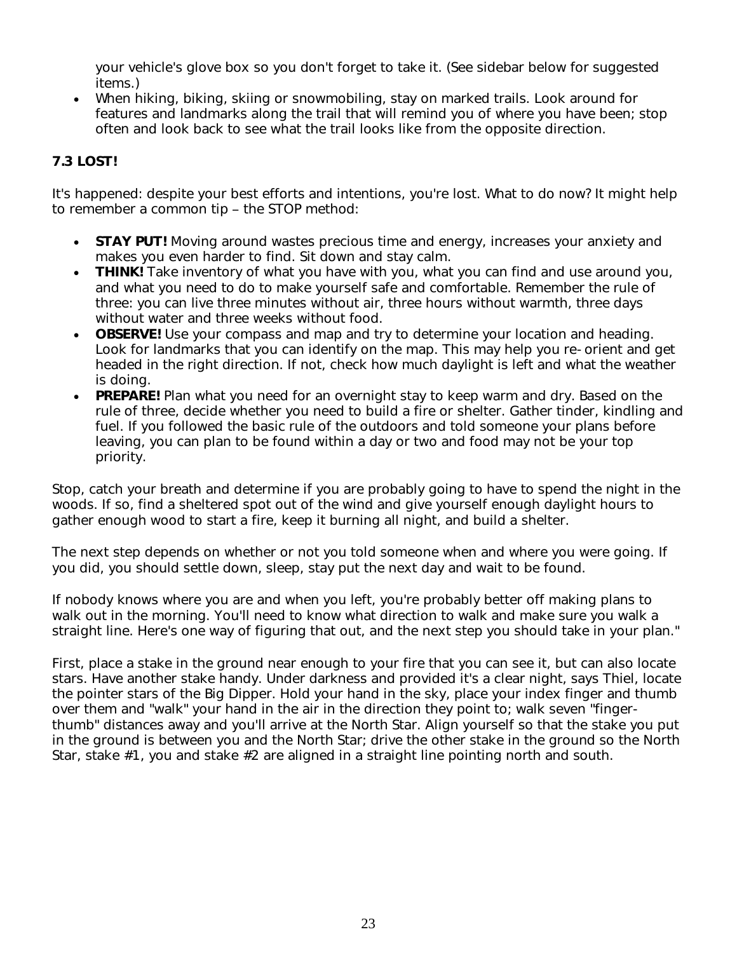your vehicle's glove box so you don't forget to take it. (See sidebar below for suggested items.)

 When hiking, biking, skiing or snowmobiling, stay on marked trails. Look around for features and landmarks along the trail that will remind you of where you have been; stop often and look back to see what the trail looks like from the opposite direction.

## **7.3 LOST!**

It's happened: despite your best efforts and intentions, you're lost. What to do now? It might help to remember a common tip - the STOP method:

- **STAY PUT!** Moving around wastes precious time and energy, increases your anxiety and makes you even harder to find. Sit down and stay calm.
- **THINK!** Take inventory of what you have with you, what you can find and use around you, and what you need to do to make yourself safe and comfortable. Remember the rule of three: you can live three minutes without air, three hours without warmth, three days without water and three weeks without food.
- **OBSERVE!** Use your compass and map and try to determine your location and heading. Look for landmarks that you can identify on the map. This may help you re-orient and get headed in the right direction. If not, check how much daylight is left and what the weather is doing.
- **PREPARE!** Plan what you need for an overnight stay to keep warm and dry. Based on the rule of three, decide whether you need to build a fire or shelter. Gather tinder, kindling and fuel. If you followed the basic rule of the outdoors and told someone your plans before leaving, you can plan to be found within a day or two and food may not be your top priority.

Stop, catch your breath and determine if you are probably going to have to spend the night in the woods. If so, find a sheltered spot out of the wind and give yourself enough daylight hours to gather enough wood to start a fire, keep it burning all night, and build a shelter.

The next step depends on whether or not you told someone when and where you were going. If you did, you should settle down, sleep, stay put the next day and wait to be found.

If nobody knows where you are and when you left, you're probably better off making plans to walk out in the morning. You'll need to know what direction to walk and make sure you walk a straight line. Here's one way of figuring that out, and the next step you should take in your plan."

First, place a stake in the ground near enough to your fire that you can see it, but can also locate stars. Have another stake handy. Under darkness and provided it's a clear night, says Thiel, locate the pointer stars of the Big Dipper. Hold your hand in the sky, place your index finger and thumb over them and "walk" your hand in the air in the direction they point to; walk seven "fingerthumb" distances away and you'll arrive at the North Star. Align yourself so that the stake you put in the ground is between you and the North Star; drive the other stake in the ground so the North Star, stake #1, you and stake #2 are aligned in a straight line pointing north and south.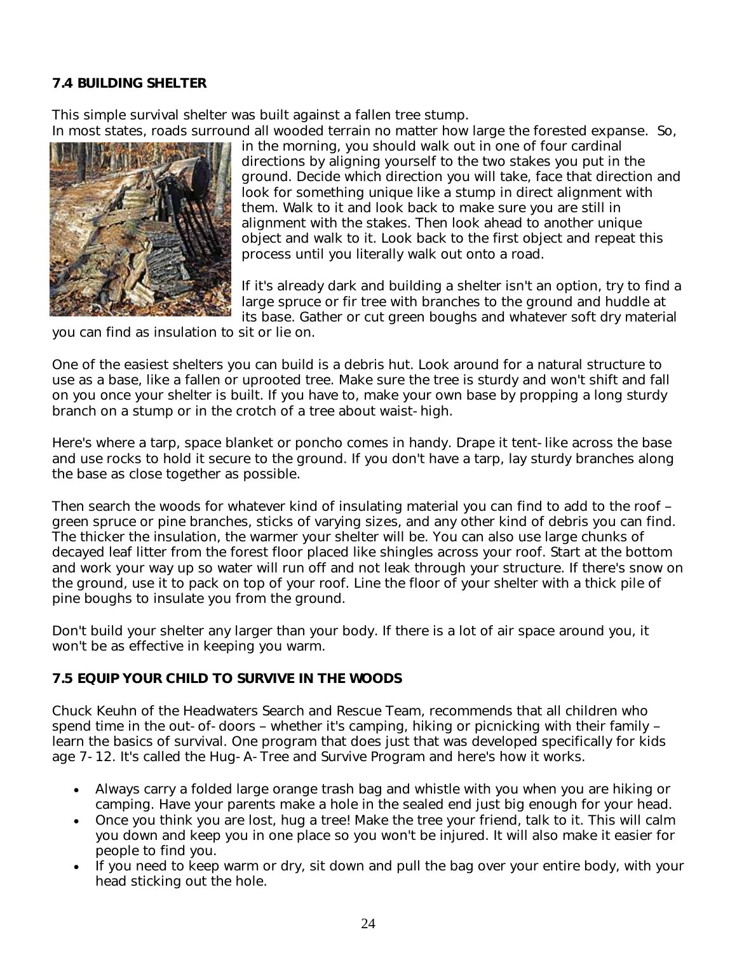# **7.4 BUILDING SHELTER**

This simple survival shelter was built against a fallen tree stump. In most states, roads surround all wooded terrain no matter how large the forested expanse. So,



in the morning, you should walk out in one of four cardinal directions by aligning yourself to the two stakes you put in the ground. Decide which direction you will take, face that direction and look for something unique like a stump in direct alignment with them. Walk to it and look back to make sure you are still in alignment with the stakes. Then look ahead to another unique object and walk to it. Look back to the first object and repeat this process until you literally walk out onto a road.

If it's already dark and building a shelter isn't an option, try to find a large spruce or fir tree with branches to the ground and huddle at its base. Gather or cut green boughs and whatever soft dry material

you can find as insulation to sit or lie on.

One of the easiest shelters you can build is a debris hut. Look around for a natural structure to use as a base, like a fallen or uprooted tree. Make sure the tree is sturdy and won't shift and fall on you once your shelter is built. If you have to, make your own base by propping a long sturdy branch on a stump or in the crotch of a tree about waist-high.

Here's where a tarp, space blanket or poncho comes in handy. Drape it tent-like across the base and use rocks to hold it secure to the ground. If you don't have a tarp, lay sturdy branches along the base as close together as possible.

Then search the woods for whatever kind of insulating material you can find to add to the roof green spruce or pine branches, sticks of varying sizes, and any other kind of debris you can find. The thicker the insulation, the warmer your shelter will be. You can also use large chunks of decayed leaf litter from the forest floor placed like shingles across your roof. Start at the bottom and work your way up so water will run off and not leak through your structure. If there's snow on the ground, use it to pack on top of your roof. Line the floor of your shelter with a thick pile of pine boughs to insulate you from the ground.

Don't build your shelter any larger than your body. If there is a lot of air space around you, it won't be as effective in keeping you warm.

## **7.5 EQUIP YOUR CHILD TO SURVIVE IN THE WOODS**

Chuck Keuhn of the Headwaters Search and Rescue Team, recommends that all children who spend time in the out-of-doors - whether it's camping, hiking or picnicking with their family learn the basics of survival. One program that does just that was developed specifically for kids age 7-12. It's called the Hug-A-Tree and Survive Program and here's how it works.

- Always carry a folded large orange trash bag and whistle with you when you are hiking or camping. Have your parents make a hole in the sealed end just big enough for your head.
- Once you think you are lost, hug a tree! Make the tree your friend, talk to it. This will calm you down and keep you in one place so you won't be injured. It will also make it easier for people to find you.
- If you need to keep warm or dry, sit down and pull the bag over your entire body, with your head sticking out the hole.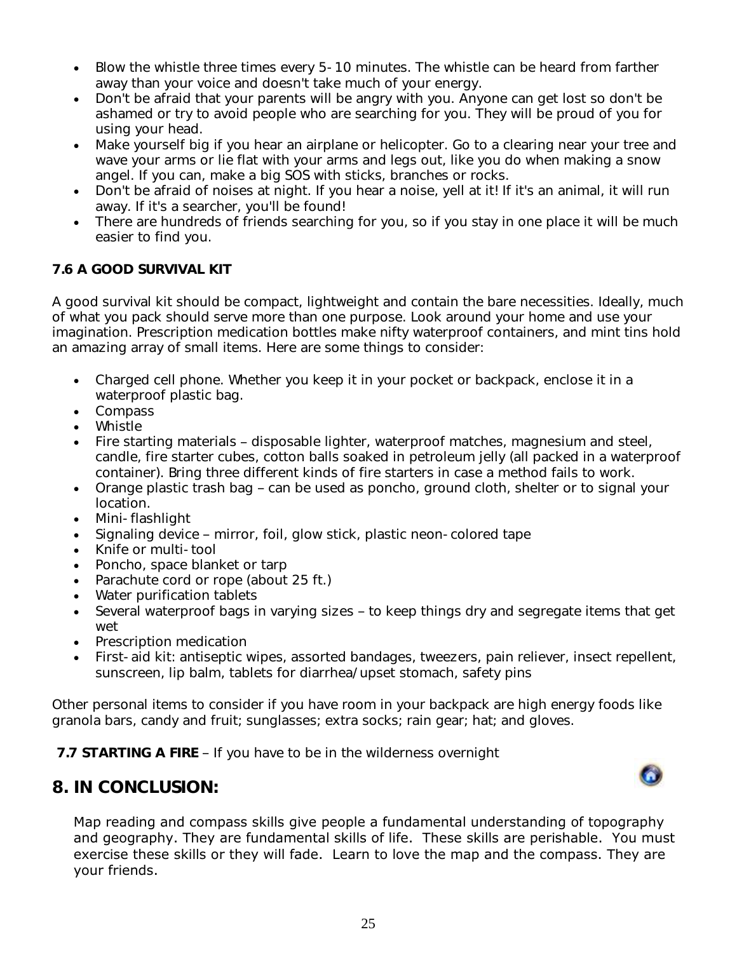- Blow the whistle three times every 5-10 minutes. The whistle can be heard from farther away than your voice and doesn't take much of your energy.
- Don't be afraid that your parents will be angry with you. Anyone can get lost so don't be ashamed or try to avoid people who are searching for you. They will be proud of you for using your head.
- Make yourself big if you hear an airplane or helicopter. Go to a clearing near your tree and wave your arms or lie flat with your arms and legs out, like you do when making a snow angel. If you can, make a big SOS with sticks, branches or rocks.
- Don't be afraid of noises at night. If you hear a noise, yell at it! If it's an animal, it will run away. If it's a searcher, you'll be found!
- There are hundreds of friends searching for you, so if you stay in one place it will be much easier to find you.

## **7.6 A GOOD SURVIVAL KIT**

A good survival kit should be compact, lightweight and contain the bare necessities. Ideally, much of what you pack should serve more than one purpose. Look around your home and use your imagination. Prescription medication bottles make nifty waterproof containers, and mint tins hold an amazing array of small items. Here are some things to consider:

- Charged cell phone. Whether you keep it in your pocket or backpack, enclose it in a waterproof plastic bag.
- Compass
- Whistle
- Fire starting materials disposable lighter, waterproof matches, magnesium and steel, candle, fire starter cubes, cotton balls soaked in petroleum jelly (all packed in a waterproof container). Bring three different kinds of fire starters in case a method fails to work.
- Orange plastic trash bag can be used as poncho, ground cloth, shelter or to signal your location.
- Mini-flashlight
- Signaling device mirror, foil, glow stick, plastic neon-colored tape
- Knife or multi-tool
- Poncho, space blanket or tarp
- Parachute cord or rope (about 25 ft.)
- Water purification tablets
- Several waterproof bags in varying sizes to keep things dry and segregate items that get wet
- Prescription medication
- First-aid kit: antiseptic wipes, assorted bandages, tweezers, pain reliever, insect repellent, sunscreen, lip balm, tablets for diarrhea/upset stomach, safety pins

Other personal items to consider if you have room in your backpack are high energy foods like granola bars, candy and fruit; sunglasses; extra socks; rain gear; hat; and gloves.

<span id="page-24-0"></span>**7.7 STARTING A FIRE - If you have to be in the wilderness overnight** 



# **8. IN CONCLUSION:**

Map reading and compass skills give people a fundamental understanding of topography and geography. They are fundamental skills of life. These skills are perishable. You must exercise these skills or they will fade. Learn to love the map and the compass. They are your friends.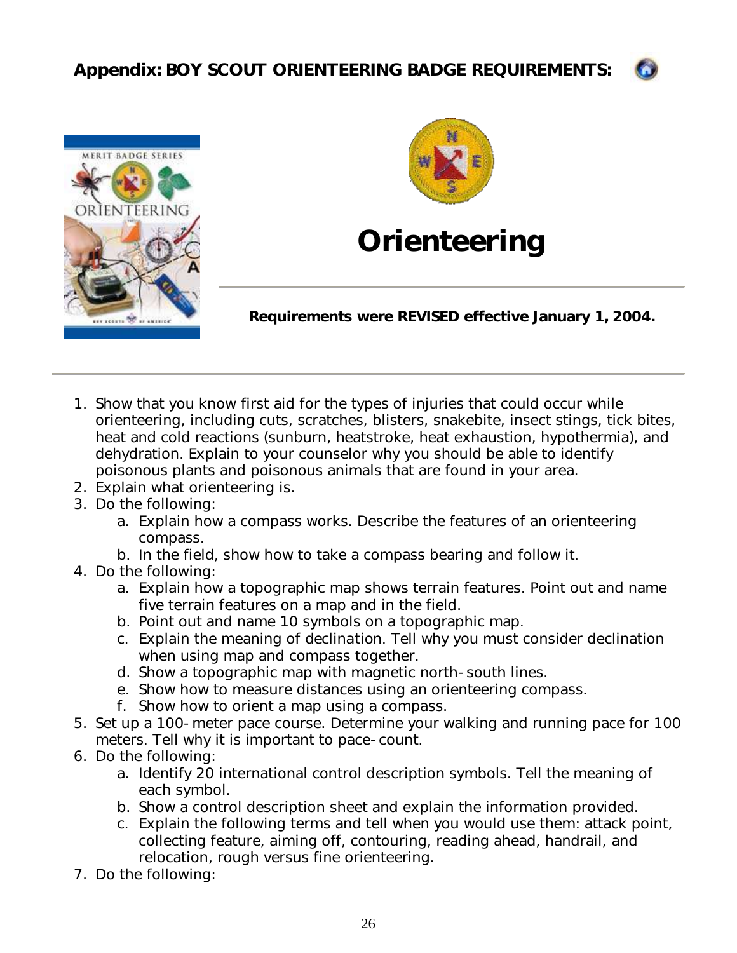

<span id="page-25-0"></span>



# **Orienteering**

**Requirements were REVISED effective January 1, 2004.**

- 1. Show that you know first aid for the types of injuries that could occur while orienteering, including cuts, scratches, blisters, snakebite, insect stings, tick bites, heat and cold reactions (sunburn, heatstroke, heat exhaustion, hypothermia), and dehydration. Explain to your counselor why you should be able to identify poisonous plants and poisonous animals that are found in your area.
- 2. Explain what orienteering is.
- 3. Do the following:
	- a. Explain how a compass works. Describe the features of an orienteering compass.
	- b. In the field, show how to take a compass bearing and follow it.
- 4. Do the following:
	- a. Explain how a topographic map shows terrain features. Point out and name five terrain features on a map and in the field.
	- b. Point out and name 10 symbols on a topographic map.
	- c. Explain the meaning of *declination*. Tell why you must consider declination when using map and compass together.
	- d. Show a topographic map with magnetic north-south lines.
	- e. Show how to measure distances using an orienteering compass.
	- f. Show how to orient a map using a compass.
- 5. Set up a 100-meter pace course. Determine your walking and running pace for 100 meters. Tell why it is important to pace-count.
- 6. Do the following:
	- a. Identify 20 international control description symbols. Tell the meaning of each symbol.
	- b. Show a control description sheet and explain the information provided.
	- c. Explain the following terms and tell when you would use them: attack point, collecting feature, aiming off, contouring, reading ahead, handrail, and relocation, rough versus fine orienteering.
- 7. Do the following: